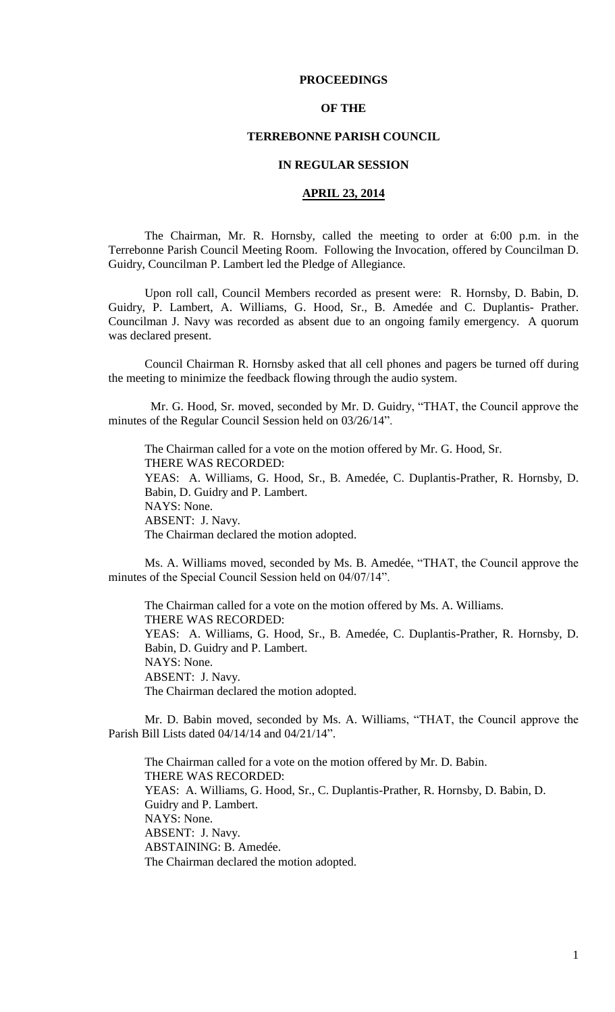### **PROCEEDINGS**

### **OF THE**

## **TERREBONNE PARISH COUNCIL**

### **IN REGULAR SESSION**

## **APRIL 23, 2014**

The Chairman, Mr. R. Hornsby, called the meeting to order at 6:00 p.m. in the Terrebonne Parish Council Meeting Room. Following the Invocation, offered by Councilman D. Guidry, Councilman P. Lambert led the Pledge of Allegiance.

Upon roll call, Council Members recorded as present were: R. Hornsby, D. Babin, D. Guidry, P. Lambert, A. Williams, G. Hood, Sr., B. Amedée and C. Duplantis- Prather. Councilman J. Navy was recorded as absent due to an ongoing family emergency. A quorum was declared present.

Council Chairman R. Hornsby asked that all cell phones and pagers be turned off during the meeting to minimize the feedback flowing through the audio system.

 Mr. G. Hood, Sr. moved, seconded by Mr. D. Guidry, "THAT, the Council approve the minutes of the Regular Council Session held on 03/26/14".

The Chairman called for a vote on the motion offered by Mr. G. Hood, Sr. THERE WAS RECORDED: YEAS: A. Williams, G. Hood, Sr., B. Amedée, C. Duplantis-Prather, R. Hornsby, D. Babin, D. Guidry and P. Lambert. NAYS: None. ABSENT: J. Navy. The Chairman declared the motion adopted.

Ms. A. Williams moved, seconded by Ms. B. Amedée, "THAT, the Council approve the minutes of the Special Council Session held on 04/07/14".

The Chairman called for a vote on the motion offered by Ms. A. Williams. THERE WAS RECORDED: YEAS: A. Williams, G. Hood, Sr., B. Amedée, C. Duplantis-Prather, R. Hornsby, D. Babin, D. Guidry and P. Lambert. NAYS: None. ABSENT: J. Navy. The Chairman declared the motion adopted.

Mr. D. Babin moved, seconded by Ms. A. Williams, "THAT, the Council approve the Parish Bill Lists dated 04/14/14 and 04/21/14".

The Chairman called for a vote on the motion offered by Mr. D. Babin. THERE WAS RECORDED: YEAS: A. Williams, G. Hood, Sr., C. Duplantis-Prather, R. Hornsby, D. Babin, D. Guidry and P. Lambert. NAYS: None. ABSENT: J. Navy. ABSTAINING: B. Amedée. The Chairman declared the motion adopted.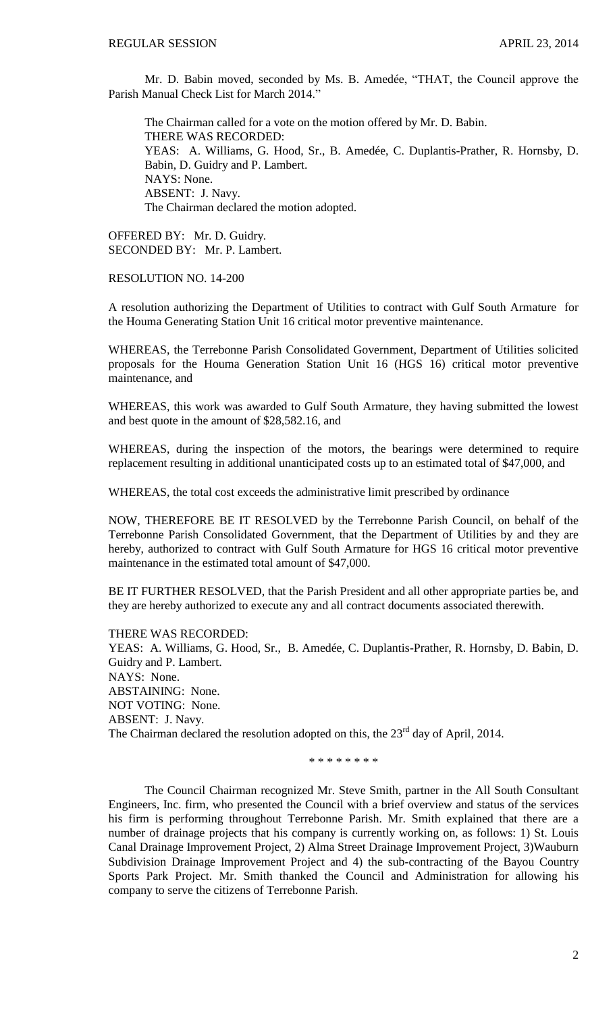Mr. D. Babin moved, seconded by Ms. B. Amedée, "THAT, the Council approve the Parish Manual Check List for March 2014.'

The Chairman called for a vote on the motion offered by Mr. D. Babin. THERE WAS RECORDED: YEAS: A. Williams, G. Hood, Sr., B. Amedée, C. Duplantis-Prather, R. Hornsby, D. Babin, D. Guidry and P. Lambert. NAYS: None. ABSENT: J. Navy. The Chairman declared the motion adopted.

OFFERED BY: Mr. D. Guidry. SECONDED BY: Mr. P. Lambert.

RESOLUTION NO. 14-200

A resolution authorizing the Department of Utilities to contract with Gulf South Armature for the Houma Generating Station Unit 16 critical motor preventive maintenance.

WHEREAS, the Terrebonne Parish Consolidated Government, Department of Utilities solicited proposals for the Houma Generation Station Unit 16 (HGS 16) critical motor preventive maintenance, and

WHEREAS, this work was awarded to Gulf South Armature, they having submitted the lowest and best quote in the amount of \$28,582.16, and

WHEREAS, during the inspection of the motors, the bearings were determined to require replacement resulting in additional unanticipated costs up to an estimated total of \$47,000, and

WHEREAS, the total cost exceeds the administrative limit prescribed by ordinance

NOW, THEREFORE BE IT RESOLVED by the Terrebonne Parish Council, on behalf of the Terrebonne Parish Consolidated Government, that the Department of Utilities by and they are hereby, authorized to contract with Gulf South Armature for HGS 16 critical motor preventive maintenance in the estimated total amount of \$47,000.

BE IT FURTHER RESOLVED, that the Parish President and all other appropriate parties be, and they are hereby authorized to execute any and all contract documents associated therewith.

THERE WAS RECORDED: YEAS: A. Williams, G. Hood, Sr., B. Amedée, C. Duplantis-Prather, R. Hornsby, D. Babin, D. Guidry and P. Lambert. NAYS: None. ABSTAINING: None. NOT VOTING: None. ABSENT: J. Navy. The Chairman declared the resolution adopted on this, the 23<sup>rd</sup> day of April, 2014.

\* \* \* \* \* \* \* \*

The Council Chairman recognized Mr. Steve Smith, partner in the All South Consultant Engineers, Inc. firm, who presented the Council with a brief overview and status of the services his firm is performing throughout Terrebonne Parish. Mr. Smith explained that there are a number of drainage projects that his company is currently working on, as follows: 1) St. Louis Canal Drainage Improvement Project, 2) Alma Street Drainage Improvement Project, 3)Wauburn Subdivision Drainage Improvement Project and 4) the sub-contracting of the Bayou Country Sports Park Project. Mr. Smith thanked the Council and Administration for allowing his company to serve the citizens of Terrebonne Parish.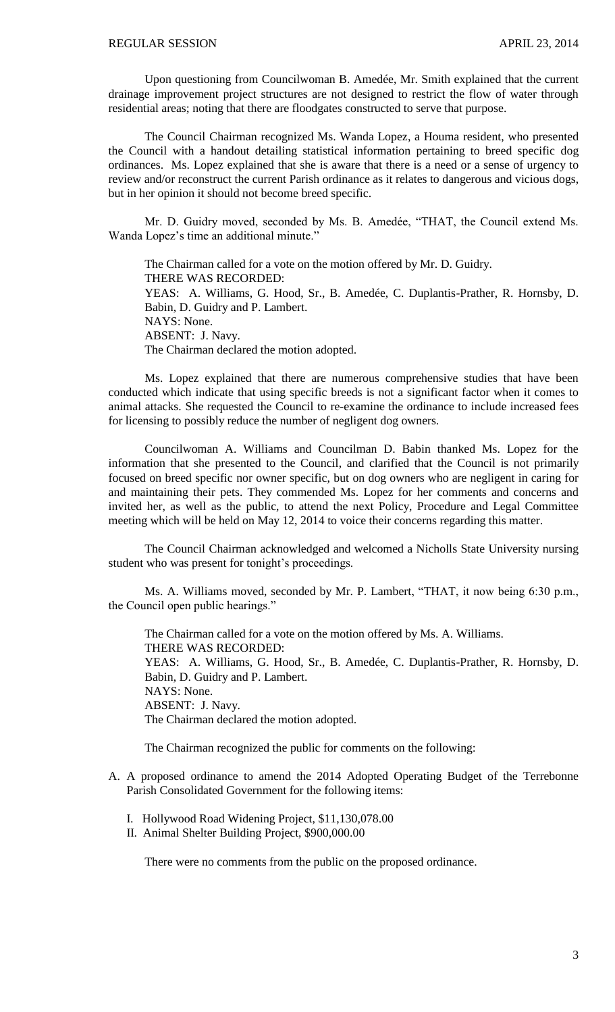Upon questioning from Councilwoman B. Amedée, Mr. Smith explained that the current drainage improvement project structures are not designed to restrict the flow of water through residential areas; noting that there are floodgates constructed to serve that purpose.

The Council Chairman recognized Ms. Wanda Lopez, a Houma resident, who presented the Council with a handout detailing statistical information pertaining to breed specific dog ordinances. Ms. Lopez explained that she is aware that there is a need or a sense of urgency to review and/or reconstruct the current Parish ordinance as it relates to dangerous and vicious dogs, but in her opinion it should not become breed specific.

Mr. D. Guidry moved, seconded by Ms. B. Amedée, "THAT, the Council extend Ms. Wanda Lopez's time an additional minute."

The Chairman called for a vote on the motion offered by Mr. D. Guidry. THERE WAS RECORDED: YEAS: A. Williams, G. Hood, Sr., B. Amedée, C. Duplantis-Prather, R. Hornsby, D. Babin, D. Guidry and P. Lambert. NAYS: None. ABSENT: J. Navy. The Chairman declared the motion adopted.

Ms. Lopez explained that there are numerous comprehensive studies that have been conducted which indicate that using specific breeds is not a significant factor when it comes to animal attacks. She requested the Council to re-examine the ordinance to include increased fees for licensing to possibly reduce the number of negligent dog owners.

Councilwoman A. Williams and Councilman D. Babin thanked Ms. Lopez for the information that she presented to the Council, and clarified that the Council is not primarily focused on breed specific nor owner specific, but on dog owners who are negligent in caring for and maintaining their pets. They commended Ms. Lopez for her comments and concerns and invited her, as well as the public, to attend the next Policy, Procedure and Legal Committee meeting which will be held on May 12, 2014 to voice their concerns regarding this matter.

The Council Chairman acknowledged and welcomed a Nicholls State University nursing student who was present for tonight's proceedings.

Ms. A. Williams moved, seconded by Mr. P. Lambert, "THAT, it now being 6:30 p.m., the Council open public hearings."

The Chairman called for a vote on the motion offered by Ms. A. Williams. THERE WAS RECORDED: YEAS: A. Williams, G. Hood, Sr., B. Amedée, C. Duplantis-Prather, R. Hornsby, D. Babin, D. Guidry and P. Lambert. NAYS: None. ABSENT: J. Navy. The Chairman declared the motion adopted.

The Chairman recognized the public for comments on the following:

- A. A proposed ordinance to amend the 2014 Adopted Operating Budget of the Terrebonne Parish Consolidated Government for the following items:
	- I. Hollywood Road Widening Project, \$11,130,078.00
	- II. Animal Shelter Building Project, \$900,000.00

There were no comments from the public on the proposed ordinance.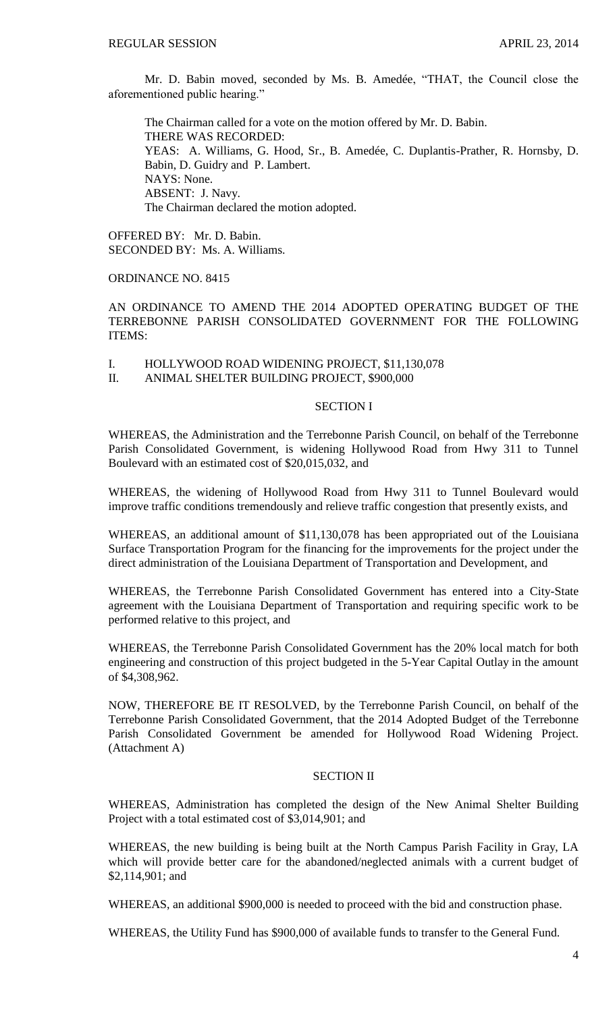Mr. D. Babin moved, seconded by Ms. B. Amedée, "THAT, the Council close the aforementioned public hearing."

The Chairman called for a vote on the motion offered by Mr. D. Babin. THERE WAS RECORDED: YEAS: A. Williams, G. Hood, Sr., B. Amedée, C. Duplantis-Prather, R. Hornsby, D. Babin, D. Guidry and P. Lambert. NAYS: None. ABSENT: J. Navy. The Chairman declared the motion adopted.

OFFERED BY: Mr. D. Babin. SECONDED BY: Ms. A. Williams.

ORDINANCE NO. 8415

AN ORDINANCE TO AMEND THE 2014 ADOPTED OPERATING BUDGET OF THE TERREBONNE PARISH CONSOLIDATED GOVERNMENT FOR THE FOLLOWING ITEMS:

- I. HOLLYWOOD ROAD WIDENING PROJECT, \$11,130,078
- II. ANIMAL SHELTER BUILDING PROJECT, \$900,000

### SECTION I

WHEREAS, the Administration and the Terrebonne Parish Council, on behalf of the Terrebonne Parish Consolidated Government, is widening Hollywood Road from Hwy 311 to Tunnel Boulevard with an estimated cost of \$20,015,032, and

WHEREAS, the widening of Hollywood Road from Hwy 311 to Tunnel Boulevard would improve traffic conditions tremendously and relieve traffic congestion that presently exists, and

WHEREAS, an additional amount of \$11,130,078 has been appropriated out of the Louisiana Surface Transportation Program for the financing for the improvements for the project under the direct administration of the Louisiana Department of Transportation and Development, and

WHEREAS, the Terrebonne Parish Consolidated Government has entered into a City-State agreement with the Louisiana Department of Transportation and requiring specific work to be performed relative to this project, and

WHEREAS, the Terrebonne Parish Consolidated Government has the 20% local match for both engineering and construction of this project budgeted in the 5-Year Capital Outlay in the amount of \$4,308,962.

NOW, THEREFORE BE IT RESOLVED, by the Terrebonne Parish Council, on behalf of the Terrebonne Parish Consolidated Government, that the 2014 Adopted Budget of the Terrebonne Parish Consolidated Government be amended for Hollywood Road Widening Project. (Attachment A)

# SECTION II

WHEREAS, Administration has completed the design of the New Animal Shelter Building Project with a total estimated cost of \$3,014,901; and

WHEREAS, the new building is being built at the North Campus Parish Facility in Gray, LA which will provide better care for the abandoned/neglected animals with a current budget of \$2,114,901; and

WHEREAS, an additional \$900,000 is needed to proceed with the bid and construction phase.

WHEREAS, the Utility Fund has \$900,000 of available funds to transfer to the General Fund.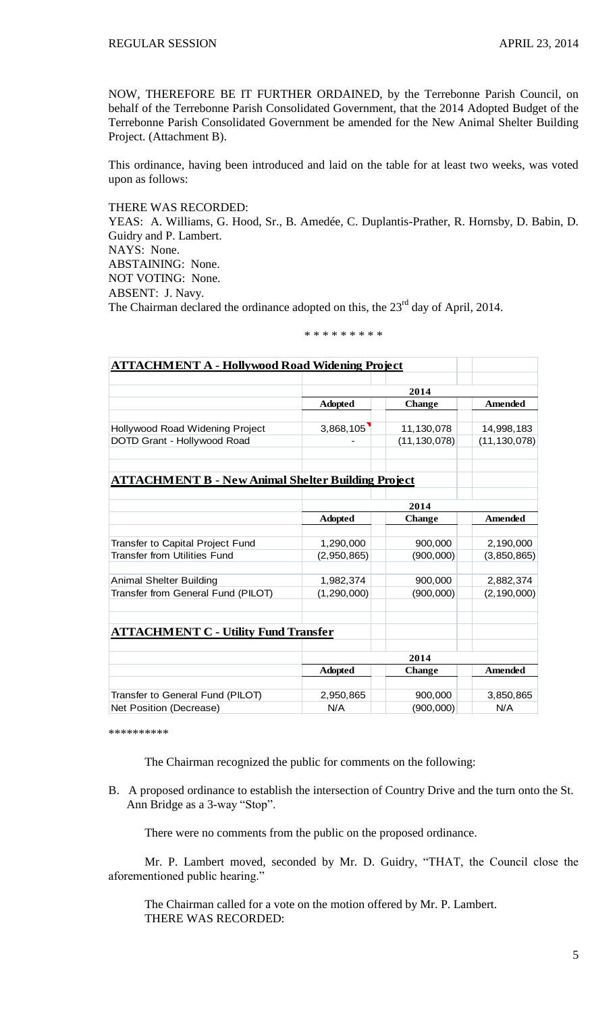NOW, THEREFORE BE IT FURTHER ORDAINED, by the Terrebonne Parish Council, on behalf of the Terrebonne Parish Consolidated Government, that the 2014 Adopted Budget of the Terrebonne Parish Consolidated Government be amended for the New Animal Shelter Building Project. (Attachment B).

This ordinance, having been introduced and laid on the table for at least two weeks, was voted upon as follows:

THERE WAS RECORDED:

YEAS: A. Williams, G. Hood, Sr., B. Amedée, C. Duplantis-Prather, R. Hornsby, D. Babin, D. Guidry and P. Lambert. NAYS: None. ABSTAINING: None. NOT VOTING: None. ABSENT: J. Navy. The Chairman declared the ordinance adopted on this, the 23<sup>rd</sup> day of April, 2014.

\* \* \* \* \* \* \* \* \*

| <b>ATTACHMENT A - Hollywood Road Widening Project</b>     |                |                |                |
|-----------------------------------------------------------|----------------|----------------|----------------|
|                                                           | 2014           |                |                |
|                                                           | <b>Adopted</b> | <b>Change</b>  | <b>Amended</b> |
|                                                           |                |                |                |
| Hollywood Road Widening Project                           | 3,868,105      | 11,130,078     | 14,998,183     |
| DOTD Grant - Hollywood Road                               |                | (11, 130, 078) | (11, 130, 078) |
| <b>ATTACHMENT B - New Animal Shelter Building Project</b> |                |                |                |
|                                                           | 2014           |                |                |
|                                                           | <b>Adopted</b> | <b>Change</b>  | <b>Amended</b> |
|                                                           |                |                |                |
| Transfer to Capital Project Fund                          | 1,290,000      | 900,000        | 2,190,000      |
| Transfer from Utilities Fund                              | (2,950,865)    | (900, 000)     | (3,850,865)    |
| <b>Animal Shelter Building</b>                            | 1,982,374      | 900,000        | 2,882,374      |
| Transfer from General Fund (PILOT)                        | (1, 290, 000)  | (900, 000)     | (2, 190, 000)  |
| <b>ATTACHMENT C - Utility Fund Transfer</b>               |                |                |                |
|                                                           |                |                |                |
|                                                           | 2014           |                |                |
|                                                           | <b>Adopted</b> | <b>Change</b>  | <b>Amended</b> |
| Transfer to General Fund (PILOT)                          | 2,950,865      | 900,000        | 3,850,865      |
| Net Position (Decrease)                                   | N/A            | (900, 000)     | N/A            |

\*\*\*\*\*\*\*\*\*\*

The Chairman recognized the public for comments on the following:

B. A proposed ordinance to establish the intersection of Country Drive and the turn onto the St. Ann Bridge as a 3-way "Stop".

There were no comments from the public on the proposed ordinance.

Mr. P. Lambert moved, seconded by Mr. D. Guidry, "THAT, the Council close the aforementioned public hearing."

The Chairman called for a vote on the motion offered by Mr. P. Lambert. THERE WAS RECORDED: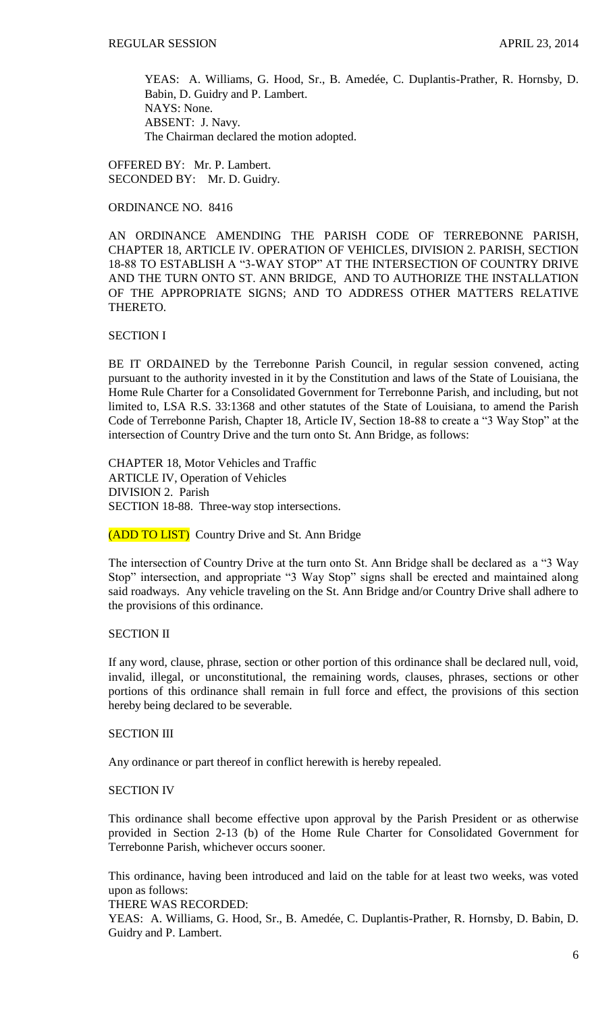YEAS: A. Williams, G. Hood, Sr., B. Amedée, C. Duplantis-Prather, R. Hornsby, D. Babin, D. Guidry and P. Lambert. NAYS: None. ABSENT: J. Navy. The Chairman declared the motion adopted.

OFFERED BY: Mr. P. Lambert. SECONDED BY: Mr. D. Guidry.

ORDINANCE NO. 8416

AN ORDINANCE AMENDING THE PARISH CODE OF TERREBONNE PARISH, CHAPTER 18, ARTICLE IV. OPERATION OF VEHICLES, DIVISION 2. PARISH, SECTION 18-88 TO ESTABLISH A "3-WAY STOP" AT THE INTERSECTION OF COUNTRY DRIVE AND THE TURN ONTO ST. ANN BRIDGE, AND TO AUTHORIZE THE INSTALLATION OF THE APPROPRIATE SIGNS; AND TO ADDRESS OTHER MATTERS RELATIVE THERETO.

### SECTION I

BE IT ORDAINED by the Terrebonne Parish Council, in regular session convened, acting pursuant to the authority invested in it by the Constitution and laws of the State of Louisiana, the Home Rule Charter for a Consolidated Government for Terrebonne Parish, and including, but not limited to, LSA R.S. 33:1368 and other statutes of the State of Louisiana, to amend the Parish Code of Terrebonne Parish, Chapter 18, Article IV, Section 18-88 to create a "3 Way Stop" at the intersection of Country Drive and the turn onto St. Ann Bridge, as follows:

CHAPTER 18, Motor Vehicles and Traffic ARTICLE IV, Operation of Vehicles DIVISION 2. Parish SECTION 18-88. Three-way stop intersections.

(ADD TO LIST) Country Drive and St. Ann Bridge

The intersection of Country Drive at the turn onto St. Ann Bridge shall be declared as a "3 Way Stop" intersection, and appropriate "3 Way Stop" signs shall be erected and maintained along said roadways. Any vehicle traveling on the St. Ann Bridge and/or Country Drive shall adhere to the provisions of this ordinance.

#### SECTION II

If any word, clause, phrase, section or other portion of this ordinance shall be declared null, void, invalid, illegal, or unconstitutional, the remaining words, clauses, phrases, sections or other portions of this ordinance shall remain in full force and effect, the provisions of this section hereby being declared to be severable.

### SECTION III

Any ordinance or part thereof in conflict herewith is hereby repealed.

## SECTION IV

This ordinance shall become effective upon approval by the Parish President or as otherwise provided in Section 2-13 (b) of the Home Rule Charter for Consolidated Government for Terrebonne Parish, whichever occurs sooner.

This ordinance, having been introduced and laid on the table for at least two weeks, was voted upon as follows:

THERE WAS RECORDED:

YEAS: A. Williams, G. Hood, Sr., B. Amedée, C. Duplantis-Prather, R. Hornsby, D. Babin, D. Guidry and P. Lambert.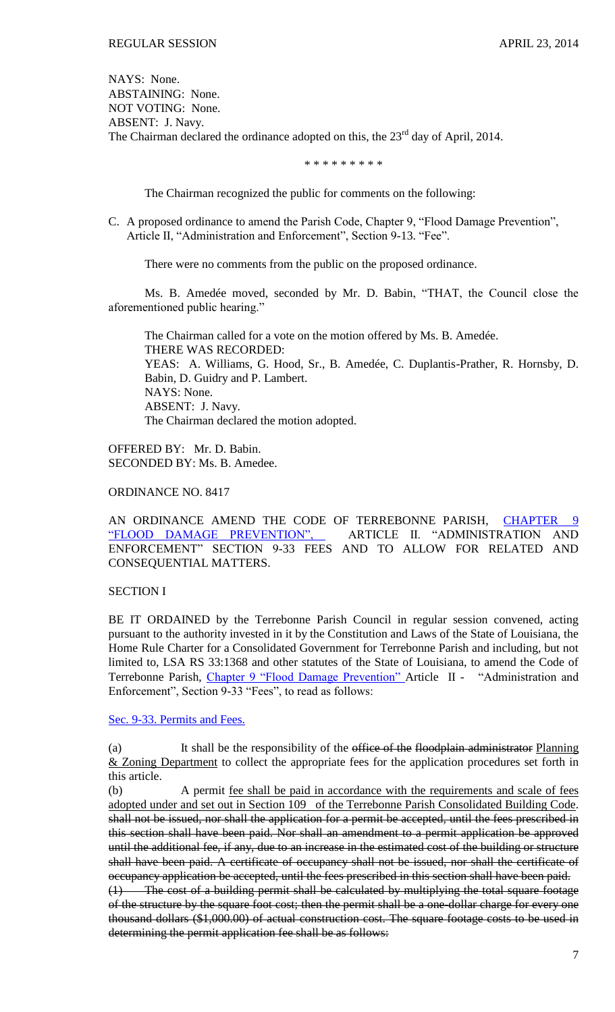NAYS: None. ABSTAINING: None. NOT VOTING: None. ABSENT: J. Navy. The Chairman declared the ordinance adopted on this, the 23<sup>rd</sup> day of April, 2014.

\* \* \* \* \* \* \* \* \*

The Chairman recognized the public for comments on the following:

C. A proposed ordinance to amend the Parish Code, Chapter 9, "Flood Damage Prevention", Article II, "Administration and Enforcement", Section 9-13. "Fee".

There were no comments from the public on the proposed ordinance.

Ms. B. Amedée moved, seconded by Mr. D. Babin, "THAT, the Council close the aforementioned public hearing."

The Chairman called for a vote on the motion offered by Ms. B. Amedée. THERE WAS RECORDED: YEAS: A. Williams, G. Hood, Sr., B. Amedée, C. Duplantis-Prather, R. Hornsby, D. Babin, D. Guidry and P. Lambert. NAYS: None. ABSENT: J. Navy. The Chairman declared the motion adopted.

OFFERED BY: Mr. D. Babin. SECONDED BY: Ms. B. Amedee.

ORDINANCE NO. 8417

AN ORDINANCE AMEND THE CODE OF TERREBONNE PARISH, [CHAPTER 9](http://library.municode.com/HTML/10737/level2/PTIIPACO_CH9FLDAPR.html)  ["FLOOD DAMAGE PREVENTION",](http://library.municode.com/HTML/10737/level2/PTIIPACO_CH9FLDAPR.html) ARTICLE II. "ADMINISTRATION AND ENFORCEMENT" SECTION 9-33 FEES AND TO ALLOW FOR RELATED AND CONSEQUENTIAL MATTERS.

### SECTION I

BE IT ORDAINED by the Terrebonne Parish Council in regular session convened, acting pursuant to the authority invested in it by the Constitution and Laws of the State of Louisiana, the Home Rule Charter for a Consolidated Government for Terrebonne Parish and including, but not limited to, LSA RS 33:1368 and other statutes of the State of Louisiana, to amend the Code of Terrebonne Parish, [Chapter 9 "Flood Damage Prevention" A](http://library.municode.com/HTML/10737/level2/PTIIPACO_CH9FLDAPR.html)rticle II - "Administration and Enforcement", Section 9-33 "Fees", to read as follows:

[Sec. 9-33. Permits and Fees.](http://library.municode.com/HTML/10737/level3/PTIIPACO_CH9FLDAPR_ARTIIADEN.html#PTIIPACO_CH9FLDAPR_ARTIIADEN_S9-33FE)

(a) It shall be the responsibility of the office of the floodplain administrator Planning & Zoning Department to collect the appropriate fees for the application procedures set forth in this article.

(b) A permit fee shall be paid in accordance with the requirements and scale of fees adopted under and set out in Section 109 of the Terrebonne Parish Consolidated Building Code. shall not be issued, nor shall the application for a permit be accepted, until the fees prescribed in this section shall have been paid. Nor shall an amendment to a permit application be approved until the additional fee, if any, due to an increase in the estimated cost of the building or structure shall have been paid. A certificate of occupancy shall not be issued, nor shall the certificate of occupancy application be accepted, until the fees prescribed in this section shall have been paid. (1) The cost of a building permit shall be calculated by multiplying the total square footage of the structure by the square foot cost; then the permit shall be a one-dollar charge for every one

thousand dollars (\$1,000.00) of actual construction cost. The square footage costs to be used in

determining the permit application fee shall be as follows: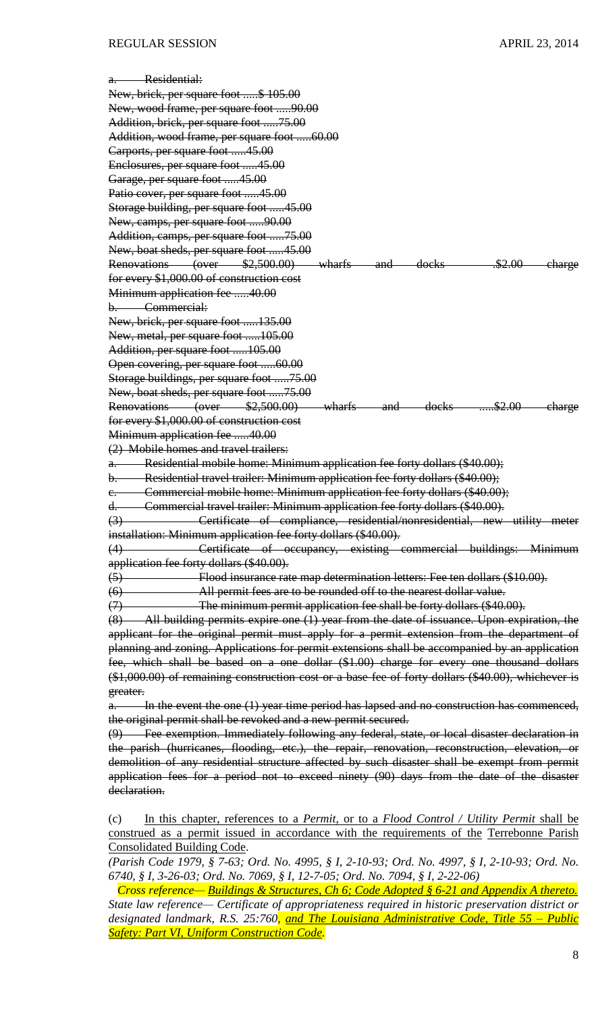| a. Residential:                                                                                                |
|----------------------------------------------------------------------------------------------------------------|
| New, brick, per square foot \$ 105.00                                                                          |
| New, wood frame, per square foot 90.00                                                                         |
| Addition, brick, per square foot 75.00                                                                         |
| Addition, wood frame, per square foot 60.00                                                                    |
| Carports, per square foot 45.00                                                                                |
| Enclosures, per square foot 45.00                                                                              |
| Garage, per square foot 45.00                                                                                  |
| Patio cover, per square foot 45.00                                                                             |
| Storage building, per square foot 45.00                                                                        |
| New, camps, per square foot 90.00                                                                              |
| Addition, camps, per square foot 75.00                                                                         |
| New, boat sheds, per square foot 45.00                                                                         |
| Renovations (over \$2,500.00) wharfs and docks .52.00<br><del>- charge</del>                                   |
| for every \$1,000.00 of construction cost                                                                      |
| Minimum application fee 40.00                                                                                  |
| b. Commercial:                                                                                                 |
| New, brick, per square foot 135.00                                                                             |
| New, metal, per square foot 105.00                                                                             |
| Addition, per square foot 105.00                                                                               |
| Open covering, per square foot 60.00                                                                           |
|                                                                                                                |
| Storage buildings, per square foot 75.00<br>New, boat sheds, per square foot 75.00                             |
| Renovations (over \$2,500.00) wharfs and docks \$2.00                                                          |
| <del>-charge</del><br>for every \$1,000.00 of construction cost                                                |
| Minimum application fee 40.00                                                                                  |
| (2) Mobile homes and travel trailers:                                                                          |
| a. Residential mobile home: Minimum application fee forty dollars (\$40.00);                                   |
| b. Residential travel trailer: Minimum application fee forty dollars (\$40.00);                                |
| c. Commercial mobile home: Minimum application fee forty dollars (\$40.00);                                    |
| d. Commercial travel trailer: Minimum application fee forty dollars (\$40.00).                                 |
| (3) Certificate of compliance, residential/nonresidential, new utility meter                                   |
| installation: Minimum application fee forty dollars (\$40.00).                                                 |
| Certificate of occupancy, existing commercial buildings: Minimum<br>(4)                                        |
| application fee forty dollars (\$40.00).                                                                       |
|                                                                                                                |
| (5) Flood insurance rate map determination letters: Fee ten dollars (\$10.00).                                 |
| (6) All permit fees are to be rounded off to the nearest dollar value.                                         |
| (7) The minimum permit application fee shall be forty dollars (\$40.00).                                       |
| (8) All building permits expire one (1) year from the date of issuance. Upon expiration, the                   |
| applicant for the original permit must apply for a permit extension from the department of                     |
| planning and zoning. Applications for permit extensions shall be accompanied by an application                 |
| fee, which shall be based on a one dollar (\$1.00) charge for every one thousand dollars                       |
| (\$1,000.00) of remaining construction cost or a base fee of forty dollars (\$40.00), whichever is             |
| greater.                                                                                                       |
| a. In the event the one (1) year time period has lapsed and no construction has commenced,                     |
| the original permit shall be revoked and a new permit secured.                                                 |
| (9) Fee exemption. Immediately following any federal, state, or local disaster declaration in                  |
| the parish (hurricanes, flooding, etc.), the repair, renovation, reconstruction, elevation, or                 |
| demolition of any residential structure affected by such disaster shall be exempt from permit                  |
| application fees for a period not to exceed ninety (90) days from the date of the disaster                     |
| declaration.                                                                                                   |
|                                                                                                                |
| (c)<br>In this chapter, references to a <i>Permit</i> , or to a <i>Flood Control / Utility Permit</i> shall be |
| construed as a permit issued in accordance with the requirements of the Terrebonne Parish                      |

construed as a permit issued in accordance with the requirements of the Terrebonne Parish Consolidated Building Code.

(Parish Code 1979, § 7-63; Ord. No. 4995, § I, 2-10-93; Ord. No. 4997, § I, 2-10-93; Ord. No. *6740, § I, 3-26-03; Ord. No. 7069, § I, 12-7-05; Ord. No. 7094, § I, 2-22-06)*

 *Cross reference— Buildings & Structures, Ch 6; Code Adopted § 6-21 and Appendix A thereto. State law reference— Certificate of appropriateness required in historic preservation district or designated landmark, R.S. 25:760, and The Louisiana Administrative Code, Title 55 – Public Safety: Part VI, Uniform Construction Code.*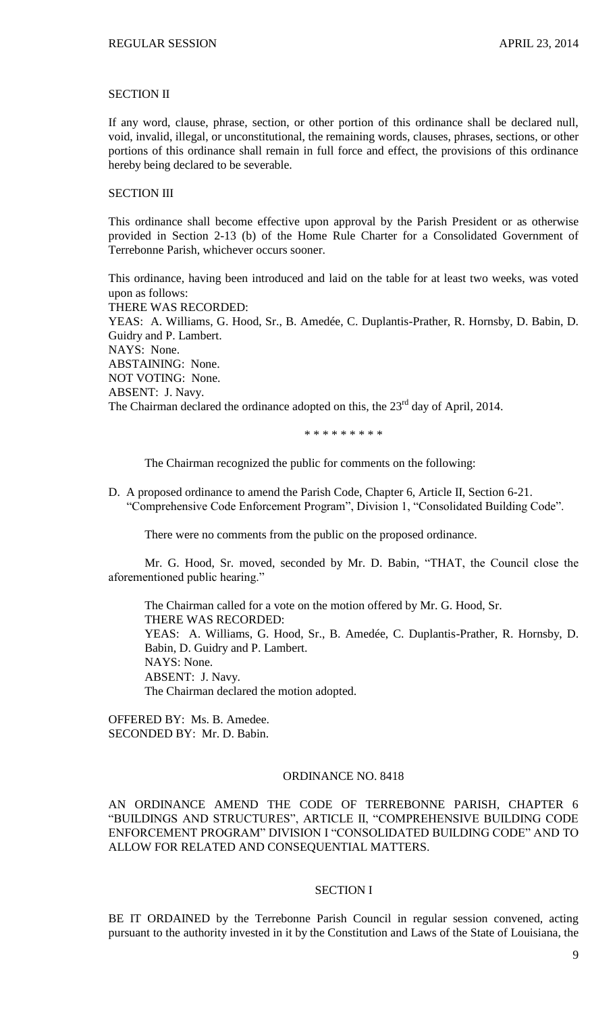### SECTION II

If any word, clause, phrase, section, or other portion of this ordinance shall be declared null, void, invalid, illegal, or unconstitutional, the remaining words, clauses, phrases, sections, or other portions of this ordinance shall remain in full force and effect, the provisions of this ordinance hereby being declared to be severable.

# SECTION III

This ordinance shall become effective upon approval by the Parish President or as otherwise provided in Section 2-13 (b) of the Home Rule Charter for a Consolidated Government of Terrebonne Parish, whichever occurs sooner.

This ordinance, having been introduced and laid on the table for at least two weeks, was voted upon as follows:

THERE WAS RECORDED: YEAS: A. Williams, G. Hood, Sr., B. Amedée, C. Duplantis-Prather, R. Hornsby, D. Babin, D. Guidry and P. Lambert. NAYS: None. ABSTAINING: None. NOT VOTING: None. ABSENT: J. Navy. The Chairman declared the ordinance adopted on this, the 23<sup>rd</sup> day of April, 2014.

\* \* \* \* \* \* \* \* \*

The Chairman recognized the public for comments on the following:

D. A proposed ordinance to amend the Parish Code, Chapter 6, Article II, Section 6-21. "Comprehensive Code Enforcement Program", Division 1, "Consolidated Building Code".

There were no comments from the public on the proposed ordinance.

Mr. G. Hood, Sr. moved, seconded by Mr. D. Babin, "THAT, the Council close the aforementioned public hearing."

The Chairman called for a vote on the motion offered by Mr. G. Hood, Sr. THERE WAS RECORDED: YEAS: A. Williams, G. Hood, Sr., B. Amedée, C. Duplantis-Prather, R. Hornsby, D. Babin, D. Guidry and P. Lambert. NAYS: None. ABSENT: J. Navy. The Chairman declared the motion adopted.

OFFERED BY: Ms. B. Amedee. SECONDED BY: Mr. D. Babin.

### ORDINANCE NO. 8418

AN ORDINANCE AMEND THE CODE OF TERREBONNE PARISH, CHAPTER 6 "BUILDINGS AND STRUCTURES", ARTICLE II, "COMPREHENSIVE BUILDING CODE ENFORCEMENT PROGRAM" DIVISION I "CONSOLIDATED BUILDING CODE" AND TO ALLOW FOR RELATED AND CONSEQUENTIAL MATTERS.

### SECTION I

BE IT ORDAINED by the Terrebonne Parish Council in regular session convened, acting pursuant to the authority invested in it by the Constitution and Laws of the State of Louisiana, the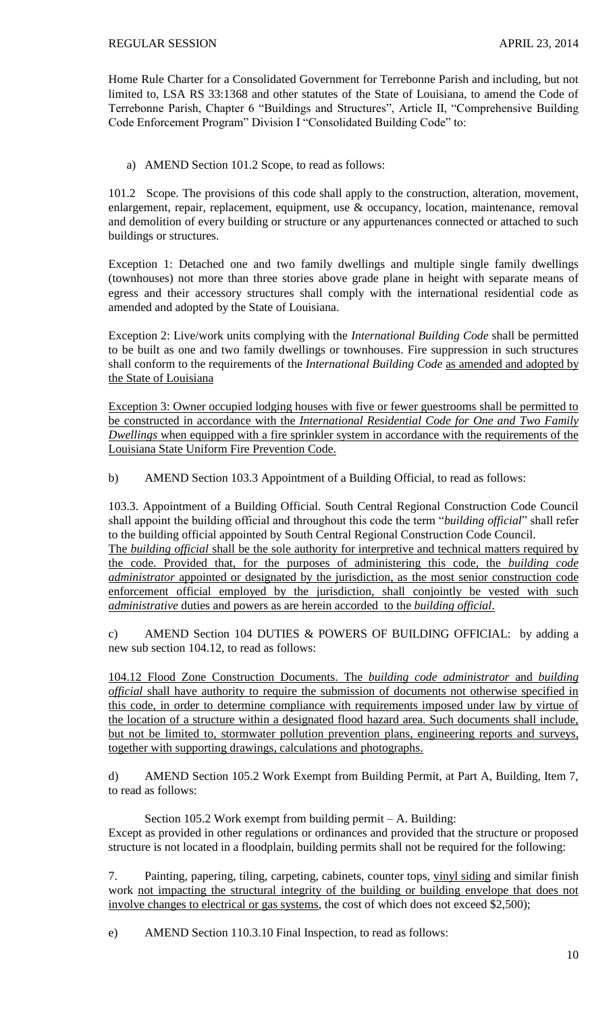Home Rule Charter for a Consolidated Government for Terrebonne Parish and including, but not limited to, LSA RS 33:1368 and other statutes of the State of Louisiana, to amend the Code of Terrebonne Parish, Chapter 6 "Buildings and Structures", Article II, "Comprehensive Building Code Enforcement Program" Division I "Consolidated Building Code" to:

a) AMEND Section 101.2 Scope, to read as follows:

101.2 Scope. The provisions of this code shall apply to the construction, alteration, movement, enlargement, repair, replacement, equipment, use & occupancy, location, maintenance, removal and demolition of every building or structure or any appurtenances connected or attached to such buildings or structures.

Exception 1: Detached one and two family dwellings and multiple single family dwellings (townhouses) not more than three stories above grade plane in height with separate means of egress and their accessory structures shall comply with the international residential code as amended and adopted by the State of Louisiana.

Exception 2: Live/work units complying with the *International Building Code* shall be permitted to be built as one and two family dwellings or townhouses. Fire suppression in such structures shall conform to the requirements of the *International Building Code* as amended and adopted by the State of Louisiana

Exception 3: Owner occupied lodging houses with five or fewer guestrooms shall be permitted to be constructed in accordance with the *International Residential Code for One and Two Family Dwellings* when equipped with a fire sprinkler system in accordance with the requirements of the Louisiana State Uniform Fire Prevention Code.

b) AMEND Section 103.3 Appointment of a Building Official, to read as follows:

103.3. Appointment of a Building Official. South Central Regional Construction Code Council shall appoint the building official and throughout this code the term "*building official*" shall refer to the building official appointed by South Central Regional Construction Code Council. The *building official* shall be the sole authority for interpretive and technical matters required by the code. Provided that, for the purposes of administering this code, the *building code administrator* appointed or designated by the jurisdiction, as the most senior construction code enforcement official employed by the jurisdiction, shall conjointly be vested with such *administrative* duties and powers as are herein accorded to the *building official*.

c) AMEND Section 104 DUTIES & POWERS OF BUILDING OFFICIAL: by adding a new sub section 104.12, to read as follows:

104.12 Flood Zone Construction Documents. The *building code administrator* and *building official* shall have authority to require the submission of documents not otherwise specified in this code, in order to determine compliance with requirements imposed under law by virtue of the location of a structure within a designated flood hazard area. Such documents shall include, but not be limited to, stormwater pollution prevention plans, engineering reports and surveys, together with supporting drawings, calculations and photographs.

d) AMEND Section 105.2 Work Exempt from Building Permit, at Part A, Building, Item 7, to read as follows:

Section 105.2 Work exempt from building permit – A. Building: Except as provided in other regulations or ordinances and provided that the structure or proposed structure is not located in a floodplain, building permits shall not be required for the following:

7. Painting, papering, tiling, carpeting, cabinets, counter tops, vinyl siding and similar finish work not impacting the structural integrity of the building or building envelope that does not involve changes to electrical or gas systems, the cost of which does not exceed \$2,500);

e) AMEND Section 110.3.10 Final Inspection, to read as follows: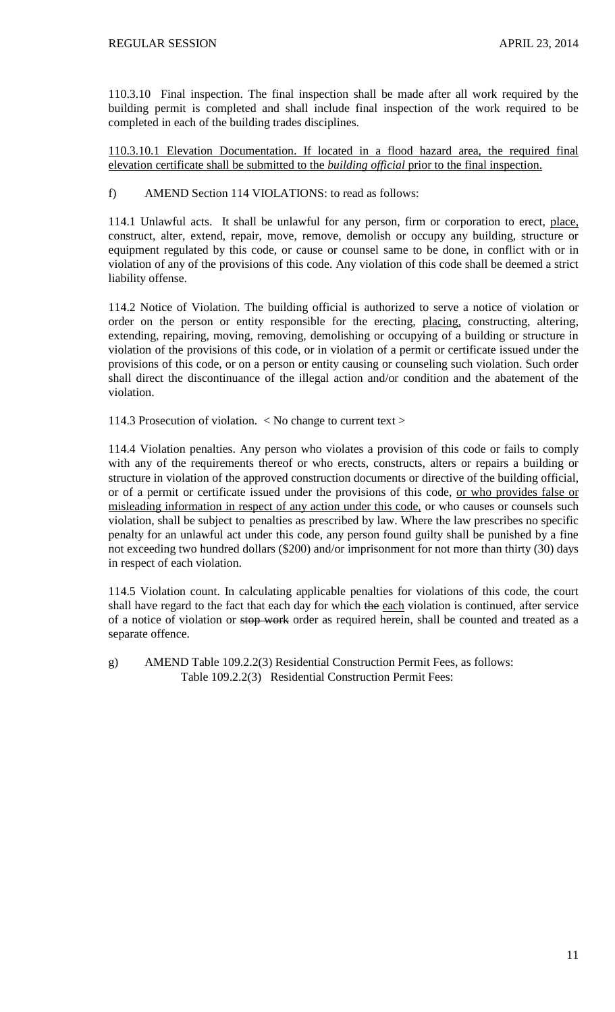110.3.10 Final inspection. The final inspection shall be made after all work required by the building permit is completed and shall include final inspection of the work required to be completed in each of the building trades disciplines.

110.3.10.1 Elevation Documentation. If located in a flood hazard area, the required final elevation certificate shall be submitted to the *building official* prior to the final inspection.

# f) AMEND Section 114 VIOLATIONS: to read as follows:

114.1 Unlawful acts. It shall be unlawful for any person, firm or corporation to erect, place, construct, alter, extend, repair, move, remove, demolish or occupy any building, structure or equipment regulated by this code, or cause or counsel same to be done, in conflict with or in violation of any of the provisions of this code. Any violation of this code shall be deemed a strict liability offense.

114.2 Notice of Violation. The building official is authorized to serve a notice of violation or order on the person or entity responsible for the erecting, placing, constructing, altering, extending, repairing, moving, removing, demolishing or occupying of a building or structure in violation of the provisions of this code, or in violation of a permit or certificate issued under the provisions of this code, or on a person or entity causing or counseling such violation. Such order shall direct the discontinuance of the illegal action and/or condition and the abatement of the violation.

114.3 Prosecution of violation. < No change to current text >

114.4 Violation penalties. Any person who violates a provision of this code or fails to comply with any of the requirements thereof or who erects, constructs, alters or repairs a building or structure in violation of the approved construction documents or directive of the building official, or of a permit or certificate issued under the provisions of this code, or who provides false or misleading information in respect of any action under this code, or who causes or counsels such violation, shall be subject to penalties as prescribed by law. Where the law prescribes no specific penalty for an unlawful act under this code, any person found guilty shall be punished by a fine not exceeding two hundred dollars (\$200) and/or imprisonment for not more than thirty (30) days in respect of each violation.

114.5 Violation count. In calculating applicable penalties for violations of this code, the court shall have regard to the fact that each day for which the each violation is continued, after service of a notice of violation or stop work order as required herein, shall be counted and treated as a separate offence.

g) AMEND Table 109.2.2(3) Residential Construction Permit Fees, as follows: Table 109.2.2(3) Residential Construction Permit Fees: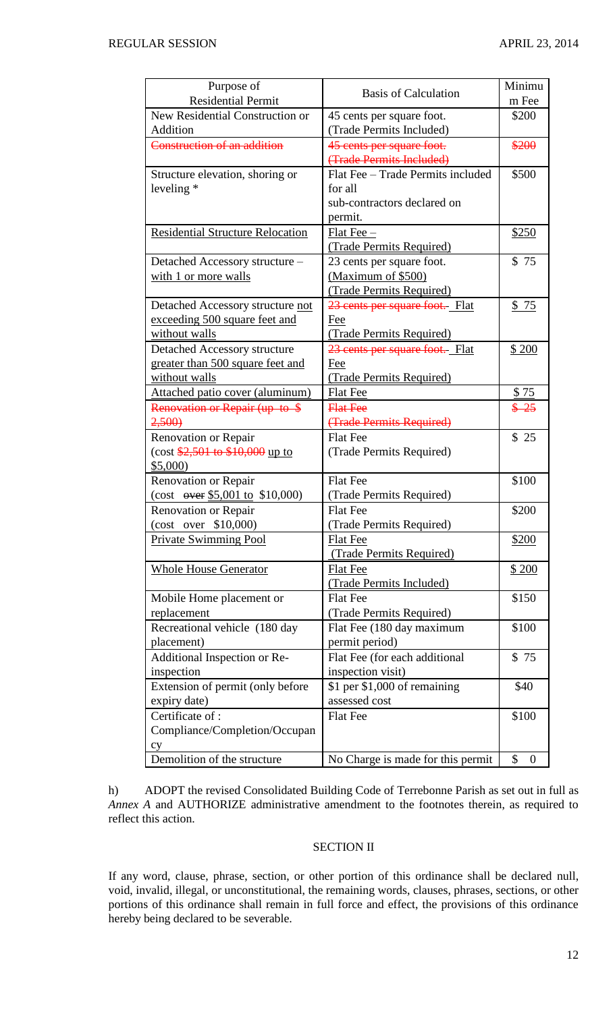| Purpose of                                                                                                                                                                                                                                                                                                                                                                                        | <b>Basis of Calculation</b>       | Minimu                 |
|---------------------------------------------------------------------------------------------------------------------------------------------------------------------------------------------------------------------------------------------------------------------------------------------------------------------------------------------------------------------------------------------------|-----------------------------------|------------------------|
| <b>Residential Permit</b>                                                                                                                                                                                                                                                                                                                                                                         |                                   | m Fee                  |
| New Residential Construction or                                                                                                                                                                                                                                                                                                                                                                   | 45 cents per square foot.         | \$200                  |
| Addition                                                                                                                                                                                                                                                                                                                                                                                          | (Trade Permits Included)          |                        |
| Construction of an addition                                                                                                                                                                                                                                                                                                                                                                       | 45 cents per square foot.         | \$200                  |
|                                                                                                                                                                                                                                                                                                                                                                                                   | (Trade Permits Included)          |                        |
| Structure elevation, shoring or                                                                                                                                                                                                                                                                                                                                                                   | Flat Fee - Trade Permits included | \$500                  |
| leveling $*$                                                                                                                                                                                                                                                                                                                                                                                      | for all                           |                        |
|                                                                                                                                                                                                                                                                                                                                                                                                   | sub-contractors declared on       |                        |
|                                                                                                                                                                                                                                                                                                                                                                                                   | permit.                           |                        |
| <b>Residential Structure Relocation</b>                                                                                                                                                                                                                                                                                                                                                           | $Flat$ Fee $-$                    | \$250                  |
|                                                                                                                                                                                                                                                                                                                                                                                                   | (Trade Permits Required)          |                        |
| Detached Accessory structure -                                                                                                                                                                                                                                                                                                                                                                    | 23 cents per square foot.         | \$75                   |
| with 1 or more walls                                                                                                                                                                                                                                                                                                                                                                              | (Maximum of \$500)                |                        |
|                                                                                                                                                                                                                                                                                                                                                                                                   | (Trade Permits Required)          |                        |
| Detached Accessory structure not                                                                                                                                                                                                                                                                                                                                                                  | 23 cents per square foot. Flat    | \$75                   |
| exceeding 500 square feet and                                                                                                                                                                                                                                                                                                                                                                     | Fee                               |                        |
| without walls                                                                                                                                                                                                                                                                                                                                                                                     | (Trade Permits Required)          |                        |
| Detached Accessory structure                                                                                                                                                                                                                                                                                                                                                                      | 23 cents per square foot. Flat    | \$200                  |
| greater than 500 square feet and                                                                                                                                                                                                                                                                                                                                                                  | Fee                               |                        |
| without walls                                                                                                                                                                                                                                                                                                                                                                                     | (Trade Permits Required)          |                        |
| Attached patio cover (aluminum)                                                                                                                                                                                                                                                                                                                                                                   | Flat Fee                          | \$75                   |
| Renovation or Repair (up to \$                                                                                                                                                                                                                                                                                                                                                                    | <b>Flat Fee</b>                   | $$ -25$                |
| 2,500                                                                                                                                                                                                                                                                                                                                                                                             | (Trade Permits Required)          |                        |
| <b>Renovation or Repair</b>                                                                                                                                                                                                                                                                                                                                                                       | <b>Flat Fee</b>                   | \$25                   |
| $(\cos t \frac{$2,501}{10}, \sin t \frac{$10,000}{10}, \cos t \frac{$2,501}{10}, \cos t \frac{$2,501}{10}, \cos t \frac{$2,501}{10}, \cos t \frac{$2,501}{10}, \cos t \frac{$2,501}{10}, \cos t \frac{$2,501}{10}, \cos t \frac{$2,501}{10}, \cos t \frac{$2,501}{10}, \cos t \frac{$2,501}{10}, \cos t \frac{$2,501}{10}, \cos t \frac{$2,501}{10}, \cos t \frac{$2,501}{10}, \cos t \frac{$2,5$ | (Trade Permits Required)          |                        |
| \$5,000                                                                                                                                                                                                                                                                                                                                                                                           |                                   |                        |
| Renovation or Repair                                                                                                                                                                                                                                                                                                                                                                              | <b>Flat Fee</b>                   | \$100                  |
| (cost $\frac{645,001}{6}$ \$10,000)                                                                                                                                                                                                                                                                                                                                                               | (Trade Permits Required)          |                        |
| Renovation or Repair                                                                                                                                                                                                                                                                                                                                                                              | <b>Flat Fee</b>                   | \$200                  |
| (cost over \$10,000)                                                                                                                                                                                                                                                                                                                                                                              | (Trade Permits Required)          |                        |
| <b>Private Swimming Pool</b>                                                                                                                                                                                                                                                                                                                                                                      | <b>Flat Fee</b>                   | \$200                  |
|                                                                                                                                                                                                                                                                                                                                                                                                   | (Trade Permits Required)          |                        |
| <b>Whole House Generator</b>                                                                                                                                                                                                                                                                                                                                                                      | <b>Flat Fee</b>                   | \$200                  |
|                                                                                                                                                                                                                                                                                                                                                                                                   | (Trade Permits Included)          |                        |
| Mobile Home placement or                                                                                                                                                                                                                                                                                                                                                                          | <b>Flat Fee</b>                   | \$150                  |
| replacement                                                                                                                                                                                                                                                                                                                                                                                       | (Trade Permits Required)          |                        |
| Recreational vehicle (180 day                                                                                                                                                                                                                                                                                                                                                                     | Flat Fee (180 day maximum         | \$100                  |
| placement)                                                                                                                                                                                                                                                                                                                                                                                        | permit period)                    |                        |
| Additional Inspection or Re-                                                                                                                                                                                                                                                                                                                                                                      | Flat Fee (for each additional     | \$75                   |
| inspection                                                                                                                                                                                                                                                                                                                                                                                        | inspection visit)                 |                        |
| Extension of permit (only before                                                                                                                                                                                                                                                                                                                                                                  | $$1$ per $$1,000$ of remaining    | \$40                   |
| expiry date)                                                                                                                                                                                                                                                                                                                                                                                      | assessed cost                     |                        |
| Certificate of:                                                                                                                                                                                                                                                                                                                                                                                   | <b>Flat Fee</b>                   | \$100                  |
| Compliance/Completion/Occupan                                                                                                                                                                                                                                                                                                                                                                     |                                   |                        |
| cy                                                                                                                                                                                                                                                                                                                                                                                                |                                   |                        |
| Demolition of the structure                                                                                                                                                                                                                                                                                                                                                                       | No Charge is made for this permit | \$<br>$\boldsymbol{0}$ |

h) ADOPT the revised Consolidated Building Code of Terrebonne Parish as set out in full as *Annex A* and AUTHORIZE administrative amendment to the footnotes therein, as required to reflect this action.

# SECTION II

If any word, clause, phrase, section, or other portion of this ordinance shall be declared null, void, invalid, illegal, or unconstitutional, the remaining words, clauses, phrases, sections, or other portions of this ordinance shall remain in full force and effect, the provisions of this ordinance hereby being declared to be severable.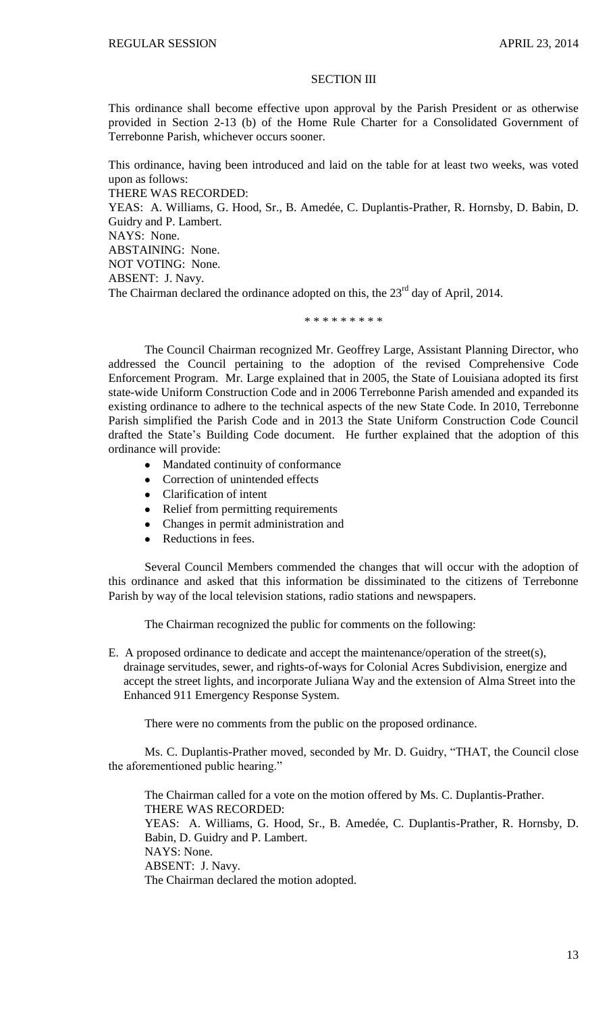### SECTION III

This ordinance shall become effective upon approval by the Parish President or as otherwise provided in Section 2-13 (b) of the Home Rule Charter for a Consolidated Government of Terrebonne Parish, whichever occurs sooner.

This ordinance, having been introduced and laid on the table for at least two weeks, was voted upon as follows:

THERE WAS RECORDED:

YEAS: A. Williams, G. Hood, Sr., B. Amedée, C. Duplantis-Prather, R. Hornsby, D. Babin, D. Guidry and P. Lambert.

NAYS: None.

ABSTAINING: None. NOT VOTING: None.

ABSENT: J. Navy.

The Chairman declared the ordinance adopted on this, the 23<sup>rd</sup> day of April, 2014.

### \* \* \* \* \* \* \* \* \*

The Council Chairman recognized Mr. Geoffrey Large, Assistant Planning Director, who addressed the Council pertaining to the adoption of the revised Comprehensive Code Enforcement Program. Mr. Large explained that in 2005, the State of Louisiana adopted its first state-wide Uniform Construction Code and in 2006 Terrebonne Parish amended and expanded its existing ordinance to adhere to the technical aspects of the new State Code. In 2010, Terrebonne Parish simplified the Parish Code and in 2013 the State Uniform Construction Code Council drafted the State's Building Code document. He further explained that the adoption of this ordinance will provide:

- Mandated continuity of conformance
- $\bullet$ Correction of unintended effects
- Clarification of intent
- Relief from permitting requirements
- Changes in permit administration and
- $\bullet$ Reductions in fees.

Several Council Members commended the changes that will occur with the adoption of this ordinance and asked that this information be dissiminated to the citizens of Terrebonne Parish by way of the local television stations, radio stations and newspapers.

The Chairman recognized the public for comments on the following:

E. A proposed ordinance to dedicate and accept the maintenance/operation of the street(s), drainage servitudes, sewer, and rights-of-ways for Colonial Acres Subdivision, energize and accept the street lights, and incorporate Juliana Way and the extension of Alma Street into the Enhanced 911 Emergency Response System.

There were no comments from the public on the proposed ordinance.

Ms. C. Duplantis-Prather moved, seconded by Mr. D. Guidry, "THAT, the Council close the aforementioned public hearing."

The Chairman called for a vote on the motion offered by Ms. C. Duplantis-Prather. THERE WAS RECORDED: YEAS: A. Williams, G. Hood, Sr., B. Amedée, C. Duplantis-Prather, R. Hornsby, D. Babin, D. Guidry and P. Lambert. NAYS: None. ABSENT: J. Navy. The Chairman declared the motion adopted.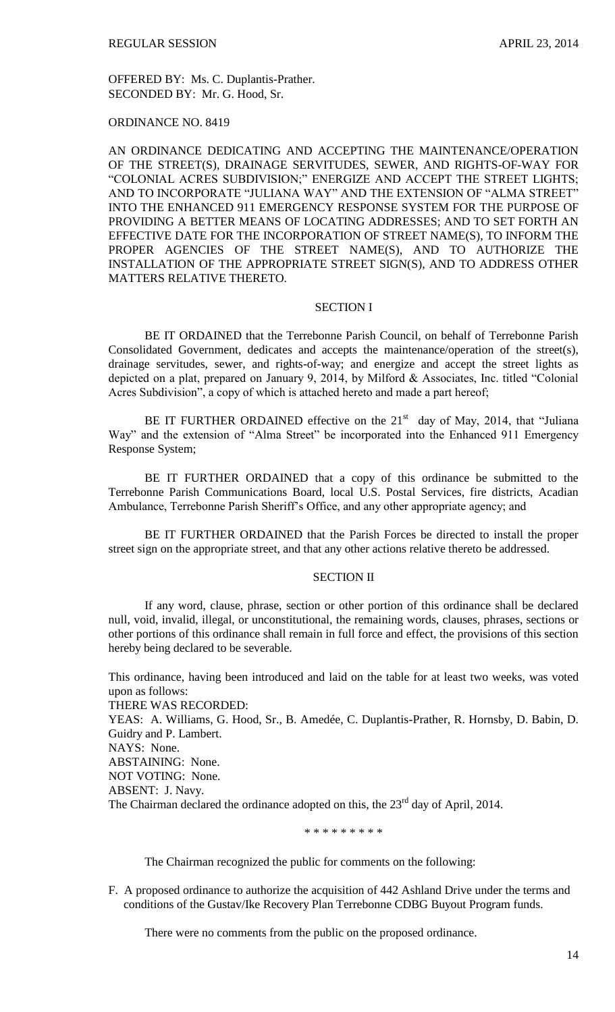OFFERED BY: Ms. C. Duplantis-Prather. SECONDED BY: Mr. G. Hood, Sr.

ORDINANCE NO. 8419

AN ORDINANCE DEDICATING AND ACCEPTING THE MAINTENANCE/OPERATION OF THE STREET(S), DRAINAGE SERVITUDES, SEWER, AND RIGHTS-OF-WAY FOR "COLONIAL ACRES SUBDIVISION;" ENERGIZE AND ACCEPT THE STREET LIGHTS; AND TO INCORPORATE "JULIANA WAY" AND THE EXTENSION OF "ALMA STREET" INTO THE ENHANCED 911 EMERGENCY RESPONSE SYSTEM FOR THE PURPOSE OF PROVIDING A BETTER MEANS OF LOCATING ADDRESSES; AND TO SET FORTH AN EFFECTIVE DATE FOR THE INCORPORATION OF STREET NAME(S), TO INFORM THE PROPER AGENCIES OF THE STREET NAME(S), AND TO AUTHORIZE THE INSTALLATION OF THE APPROPRIATE STREET SIGN(S), AND TO ADDRESS OTHER MATTERS RELATIVE THERETO.

### SECTION I

BE IT ORDAINED that the Terrebonne Parish Council, on behalf of Terrebonne Parish Consolidated Government, dedicates and accepts the maintenance/operation of the street(s), drainage servitudes, sewer, and rights-of-way; and energize and accept the street lights as depicted on a plat, prepared on January 9, 2014, by Milford & Associates, Inc. titled "Colonial Acres Subdivision", a copy of which is attached hereto and made a part hereof;

BE IT FURTHER ORDAINED effective on the  $21<sup>st</sup>$  day of May, 2014, that "Juliana" Way" and the extension of "Alma Street" be incorporated into the Enhanced 911 Emergency Response System;

BE IT FURTHER ORDAINED that a copy of this ordinance be submitted to the Terrebonne Parish Communications Board, local U.S. Postal Services, fire districts, Acadian Ambulance, Terrebonne Parish Sheriff's Office, and any other appropriate agency; and

BE IT FURTHER ORDAINED that the Parish Forces be directed to install the proper street sign on the appropriate street, and that any other actions relative thereto be addressed.

#### SECTION II

If any word, clause, phrase, section or other portion of this ordinance shall be declared null, void, invalid, illegal, or unconstitutional, the remaining words, clauses, phrases, sections or other portions of this ordinance shall remain in full force and effect, the provisions of this section hereby being declared to be severable.

This ordinance, having been introduced and laid on the table for at least two weeks, was voted upon as follows: THERE WAS RECORDED: YEAS: A. Williams, G. Hood, Sr., B. Amedée, C. Duplantis-Prather, R. Hornsby, D. Babin, D. Guidry and P. Lambert. NAYS: None. ABSTAINING: None. NOT VOTING: None. ABSENT: J. Navy.

The Chairman declared the ordinance adopted on this, the  $23<sup>rd</sup>$  day of April, 2014.

\* \* \* \* \* \* \* \* \*

The Chairman recognized the public for comments on the following:

F. A proposed ordinance to authorize the acquisition of 442 Ashland Drive under the terms and conditions of the Gustav/Ike Recovery Plan Terrebonne CDBG Buyout Program funds.

There were no comments from the public on the proposed ordinance.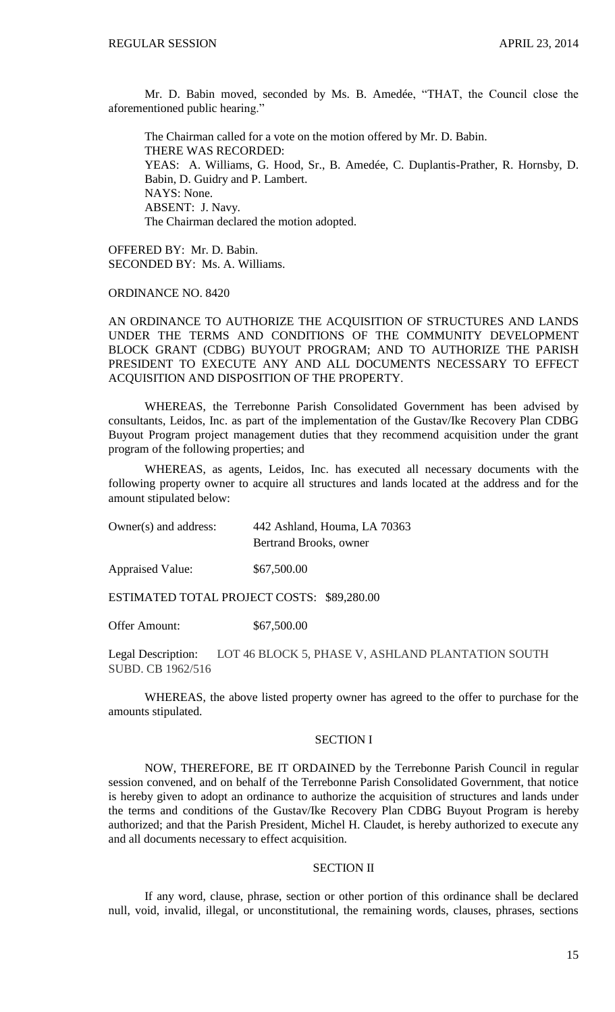Mr. D. Babin moved, seconded by Ms. B. Amedée, "THAT, the Council close the aforementioned public hearing."

The Chairman called for a vote on the motion offered by Mr. D. Babin. THERE WAS RECORDED: YEAS: A. Williams, G. Hood, Sr., B. Amedée, C. Duplantis-Prather, R. Hornsby, D. Babin, D. Guidry and P. Lambert. NAYS: None. ABSENT: J. Navy. The Chairman declared the motion adopted.

OFFERED BY: Mr. D. Babin. SECONDED BY: Ms. A. Williams.

ORDINANCE NO. 8420

AN ORDINANCE TO AUTHORIZE THE ACQUISITION OF STRUCTURES AND LANDS UNDER THE TERMS AND CONDITIONS OF THE COMMUNITY DEVELOPMENT BLOCK GRANT (CDBG) BUYOUT PROGRAM; AND TO AUTHORIZE THE PARISH PRESIDENT TO EXECUTE ANY AND ALL DOCUMENTS NECESSARY TO EFFECT ACQUISITION AND DISPOSITION OF THE PROPERTY.

WHEREAS, the Terrebonne Parish Consolidated Government has been advised by consultants, Leidos, Inc. as part of the implementation of the Gustav/Ike Recovery Plan CDBG Buyout Program project management duties that they recommend acquisition under the grant program of the following properties; and

WHEREAS, as agents, Leidos, Inc. has executed all necessary documents with the following property owner to acquire all structures and lands located at the address and for the amount stipulated below:

Owner(s) and address: 442 Ashland, Houma, LA 70363 Bertrand Brooks, owner

Appraised Value: \$67,500.00

ESTIMATED TOTAL PROJECT COSTS: \$89,280.00

Offer Amount: \$67,500.00

Legal Description: LOT 46 BLOCK 5, PHASE V, ASHLAND PLANTATION SOUTH SUBD. CB 1962/516

WHEREAS, the above listed property owner has agreed to the offer to purchase for the amounts stipulated.

### SECTION I

NOW, THEREFORE, BE IT ORDAINED by the Terrebonne Parish Council in regular session convened, and on behalf of the Terrebonne Parish Consolidated Government, that notice is hereby given to adopt an ordinance to authorize the acquisition of structures and lands under the terms and conditions of the Gustav/Ike Recovery Plan CDBG Buyout Program is hereby authorized; and that the Parish President, Michel H. Claudet, is hereby authorized to execute any and all documents necessary to effect acquisition.

## SECTION II

If any word, clause, phrase, section or other portion of this ordinance shall be declared null, void, invalid, illegal, or unconstitutional, the remaining words, clauses, phrases, sections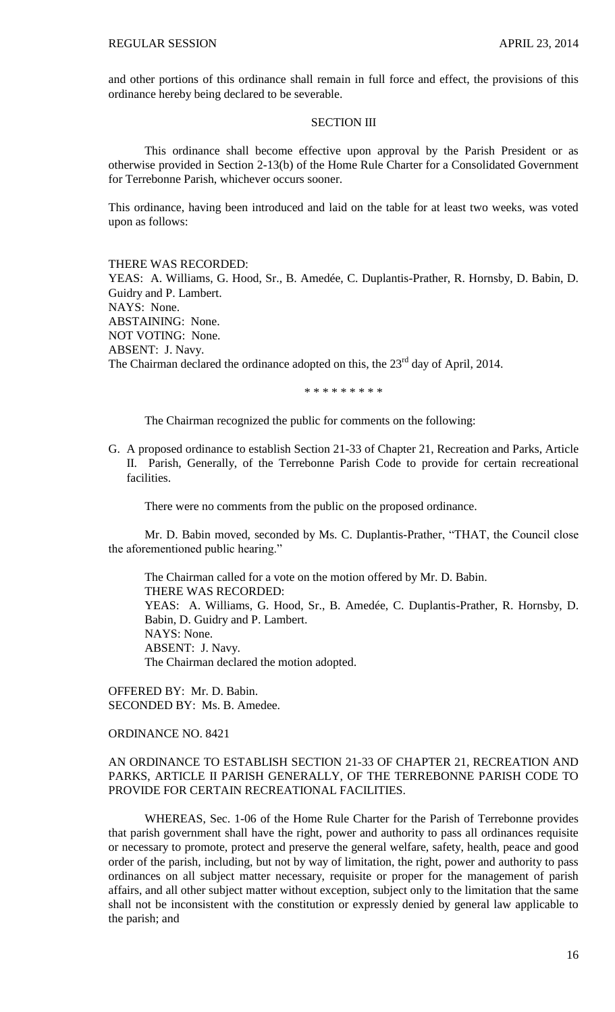and other portions of this ordinance shall remain in full force and effect, the provisions of this ordinance hereby being declared to be severable.

#### SECTION III

This ordinance shall become effective upon approval by the Parish President or as otherwise provided in Section 2-13(b) of the Home Rule Charter for a Consolidated Government for Terrebonne Parish, whichever occurs sooner.

This ordinance, having been introduced and laid on the table for at least two weeks, was voted upon as follows:

#### THERE WAS RECORDED:

YEAS: A. Williams, G. Hood, Sr., B. Amedée, C. Duplantis-Prather, R. Hornsby, D. Babin, D. Guidry and P. Lambert. NAYS: None. ABSTAINING: None. NOT VOTING: None. ABSENT: J. Navy. The Chairman declared the ordinance adopted on this, the 23<sup>rd</sup> day of April, 2014.

\* \* \* \* \* \* \* \* \*

The Chairman recognized the public for comments on the following:

G. A proposed ordinance to establish Section 21-33 of Chapter 21, Recreation and Parks, Article II. Parish, Generally, of the Terrebonne Parish Code to provide for certain recreational facilities.

There were no comments from the public on the proposed ordinance.

Mr. D. Babin moved, seconded by Ms. C. Duplantis-Prather, "THAT, the Council close the aforementioned public hearing."

The Chairman called for a vote on the motion offered by Mr. D. Babin. THERE WAS RECORDED: YEAS: A. Williams, G. Hood, Sr., B. Amedée, C. Duplantis-Prather, R. Hornsby, D. Babin, D. Guidry and P. Lambert. NAYS: None. ABSENT: J. Navy. The Chairman declared the motion adopted.

OFFERED BY: Mr. D. Babin. SECONDED BY: Ms. B. Amedee.

ORDINANCE NO. 8421

## AN ORDINANCE TO ESTABLISH SECTION 21-33 OF CHAPTER 21, RECREATION AND PARKS, ARTICLE II PARISH GENERALLY, OF THE TERREBONNE PARISH CODE TO PROVIDE FOR CERTAIN RECREATIONAL FACILITIES.

WHEREAS, Sec. 1-06 of the Home Rule Charter for the Parish of Terrebonne provides that parish government shall have the right, power and authority to pass all ordinances requisite or necessary to promote, protect and preserve the general welfare, safety, health, peace and good order of the parish, including, but not by way of limitation, the right, power and authority to pass ordinances on all subject matter necessary, requisite or proper for the management of parish affairs, and all other subject matter without exception, subject only to the limitation that the same shall not be inconsistent with the constitution or expressly denied by general law applicable to the parish; and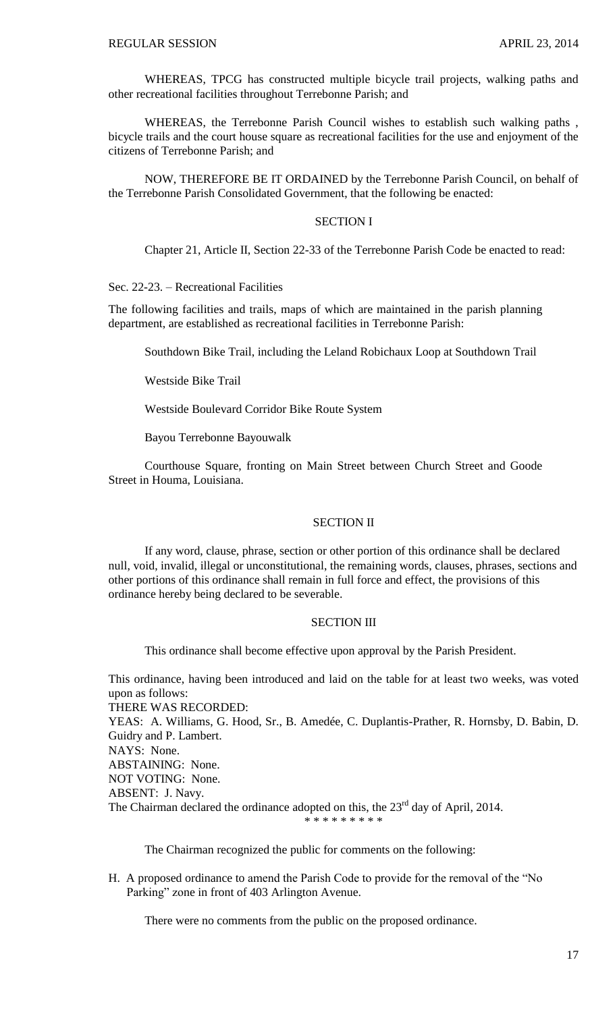WHEREAS, TPCG has constructed multiple bicycle trail projects, walking paths and other recreational facilities throughout Terrebonne Parish; and

WHEREAS, the Terrebonne Parish Council wishes to establish such walking paths , bicycle trails and the court house square as recreational facilities for the use and enjoyment of the citizens of Terrebonne Parish; and

NOW, THEREFORE BE IT ORDAINED by the Terrebonne Parish Council, on behalf of the Terrebonne Parish Consolidated Government, that the following be enacted:

#### SECTION I

Chapter 21, Article II, Section 22-33 of the Terrebonne Parish Code be enacted to read:

Sec. 22-23. – Recreational Facilities

The following facilities and trails, maps of which are maintained in the parish planning department, are established as recreational facilities in Terrebonne Parish:

Southdown Bike Trail, including the Leland Robichaux Loop at Southdown Trail

Westside Bike Trail

Westside Boulevard Corridor Bike Route System

Bayou Terrebonne Bayouwalk

Courthouse Square, fronting on Main Street between Church Street and Goode Street in Houma, Louisiana.

### SECTION II

If any word, clause, phrase, section or other portion of this ordinance shall be declared null, void, invalid, illegal or unconstitutional, the remaining words, clauses, phrases, sections and other portions of this ordinance shall remain in full force and effect, the provisions of this ordinance hereby being declared to be severable.

## SECTION III

This ordinance shall become effective upon approval by the Parish President.

This ordinance, having been introduced and laid on the table for at least two weeks, was voted upon as follows: THERE WAS RECORDED: YEAS: A. Williams, G. Hood, Sr., B. Amedée, C. Duplantis-Prather, R. Hornsby, D. Babin, D. Guidry and P. Lambert. NAYS: None. ABSTAINING: None. NOT VOTING: None. ABSENT: J. Navy. The Chairman declared the ordinance adopted on this, the 23<sup>rd</sup> day of April, 2014. \* \* \* \* \* \* \* \* \*

The Chairman recognized the public for comments on the following:

H. A proposed ordinance to amend the Parish Code to provide for the removal of the "No Parking" zone in front of 403 Arlington Avenue.

There were no comments from the public on the proposed ordinance.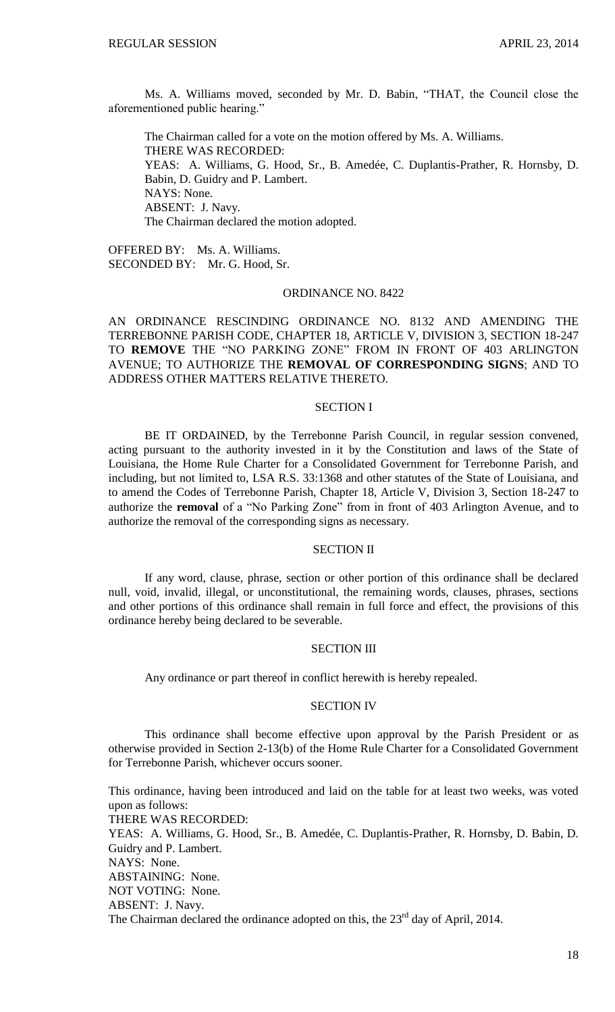Ms. A. Williams moved, seconded by Mr. D. Babin, "THAT, the Council close the aforementioned public hearing."

The Chairman called for a vote on the motion offered by Ms. A. Williams. THERE WAS RECORDED: YEAS: A. Williams, G. Hood, Sr., B. Amedée, C. Duplantis-Prather, R. Hornsby, D. Babin, D. Guidry and P. Lambert. NAYS: None. ABSENT: J. Navy. The Chairman declared the motion adopted.

OFFERED BY: Ms. A. Williams. SECONDED BY: Mr. G. Hood, Sr.

### ORDINANCE NO. 8422

AN ORDINANCE RESCINDING ORDINANCE NO. 8132 AND AMENDING THE TERREBONNE PARISH CODE, CHAPTER 18, ARTICLE V, DIVISION 3, SECTION 18-247 TO **REMOVE** THE "NO PARKING ZONE" FROM IN FRONT OF 403 ARLINGTON AVENUE; TO AUTHORIZE THE **REMOVAL OF CORRESPONDING SIGNS**; AND TO ADDRESS OTHER MATTERS RELATIVE THERETO.

#### SECTION I

BE IT ORDAINED, by the Terrebonne Parish Council, in regular session convened, acting pursuant to the authority invested in it by the Constitution and laws of the State of Louisiana, the Home Rule Charter for a Consolidated Government for Terrebonne Parish, and including, but not limited to, LSA R.S. 33:1368 and other statutes of the State of Louisiana, and to amend the Codes of Terrebonne Parish, Chapter 18, Article V, Division 3, Section 18-247 to authorize the **removal** of a "No Parking Zone" from in front of 403 Arlington Avenue, and to authorize the removal of the corresponding signs as necessary.

#### SECTION II

If any word, clause, phrase, section or other portion of this ordinance shall be declared null, void, invalid, illegal, or unconstitutional, the remaining words, clauses, phrases, sections and other portions of this ordinance shall remain in full force and effect, the provisions of this ordinance hereby being declared to be severable.

# SECTION III

Any ordinance or part thereof in conflict herewith is hereby repealed.

#### SECTION IV

This ordinance shall become effective upon approval by the Parish President or as otherwise provided in Section 2-13(b) of the Home Rule Charter for a Consolidated Government for Terrebonne Parish, whichever occurs sooner.

This ordinance, having been introduced and laid on the table for at least two weeks, was voted upon as follows: THERE WAS RECORDED: YEAS: A. Williams, G. Hood, Sr., B. Amedée, C. Duplantis-Prather, R. Hornsby, D. Babin, D. Guidry and P. Lambert. NAYS: None. ABSTAINING: None. NOT VOTING: None. ABSENT: J. Navy. The Chairman declared the ordinance adopted on this, the 23<sup>rd</sup> day of April, 2014.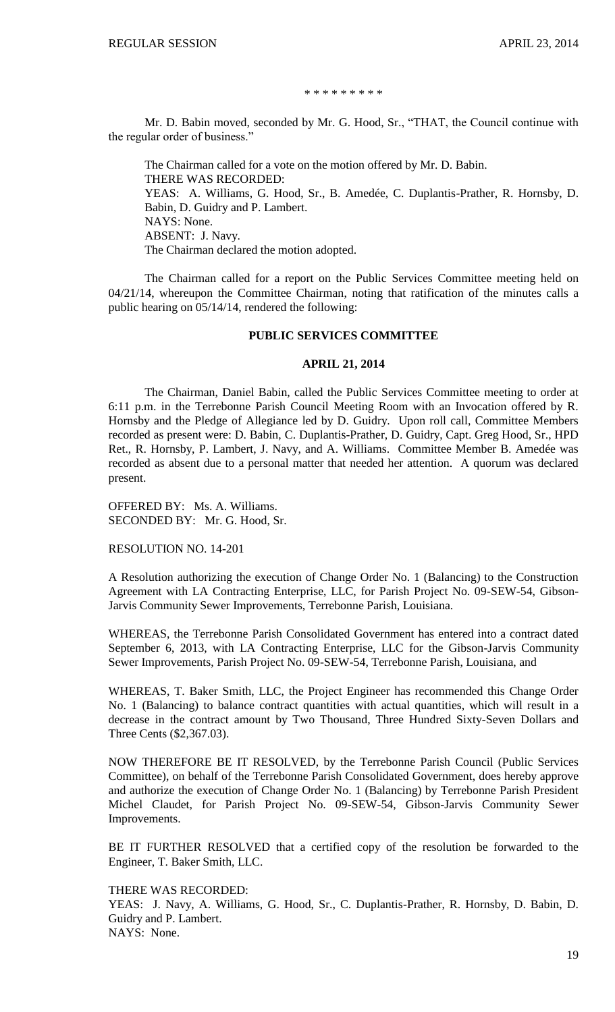#### \* \* \* \* \* \* \* \* \*

Mr. D. Babin moved, seconded by Mr. G. Hood, Sr., "THAT, the Council continue with the regular order of business."

The Chairman called for a vote on the motion offered by Mr. D. Babin. THERE WAS RECORDED: YEAS: A. Williams, G. Hood, Sr., B. Amedée, C. Duplantis-Prather, R. Hornsby, D. Babin, D. Guidry and P. Lambert. NAYS: None. ABSENT: J. Navy. The Chairman declared the motion adopted.

The Chairman called for a report on the Public Services Committee meeting held on 04/21/14, whereupon the Committee Chairman, noting that ratification of the minutes calls a public hearing on 05/14/14, rendered the following:

## **PUBLIC SERVICES COMMITTEE**

#### **APRIL 21, 2014**

The Chairman, Daniel Babin, called the Public Services Committee meeting to order at 6:11 p.m. in the Terrebonne Parish Council Meeting Room with an Invocation offered by R. Hornsby and the Pledge of Allegiance led by D. Guidry. Upon roll call, Committee Members recorded as present were: D. Babin, C. Duplantis-Prather, D. Guidry, Capt. Greg Hood, Sr., HPD Ret., R. Hornsby, P. Lambert, J. Navy, and A. Williams. Committee Member B. Amedée was recorded as absent due to a personal matter that needed her attention. A quorum was declared present.

OFFERED BY: Ms. A. Williams. SECONDED BY: Mr. G. Hood, Sr.

RESOLUTION NO. 14-201

A Resolution authorizing the execution of Change Order No. 1 (Balancing) to the Construction Agreement with LA Contracting Enterprise, LLC, for Parish Project No. 09-SEW-54, Gibson-Jarvis Community Sewer Improvements, Terrebonne Parish, Louisiana.

WHEREAS, the Terrebonne Parish Consolidated Government has entered into a contract dated September 6, 2013, with LA Contracting Enterprise, LLC for the Gibson-Jarvis Community Sewer Improvements, Parish Project No. 09-SEW-54, Terrebonne Parish, Louisiana, and

WHEREAS, T. Baker Smith, LLC, the Project Engineer has recommended this Change Order No. 1 (Balancing) to balance contract quantities with actual quantities, which will result in a decrease in the contract amount by Two Thousand, Three Hundred Sixty-Seven Dollars and Three Cents (\$2,367.03).

NOW THEREFORE BE IT RESOLVED, by the Terrebonne Parish Council (Public Services Committee), on behalf of the Terrebonne Parish Consolidated Government, does hereby approve and authorize the execution of Change Order No. 1 (Balancing) by Terrebonne Parish President Michel Claudet, for Parish Project No. 09-SEW-54, Gibson-Jarvis Community Sewer Improvements.

BE IT FURTHER RESOLVED that a certified copy of the resolution be forwarded to the Engineer, T. Baker Smith, LLC.

THERE WAS RECORDED:

YEAS: J. Navy, A. Williams, G. Hood, Sr., C. Duplantis-Prather, R. Hornsby, D. Babin, D. Guidry and P. Lambert.

NAYS: None.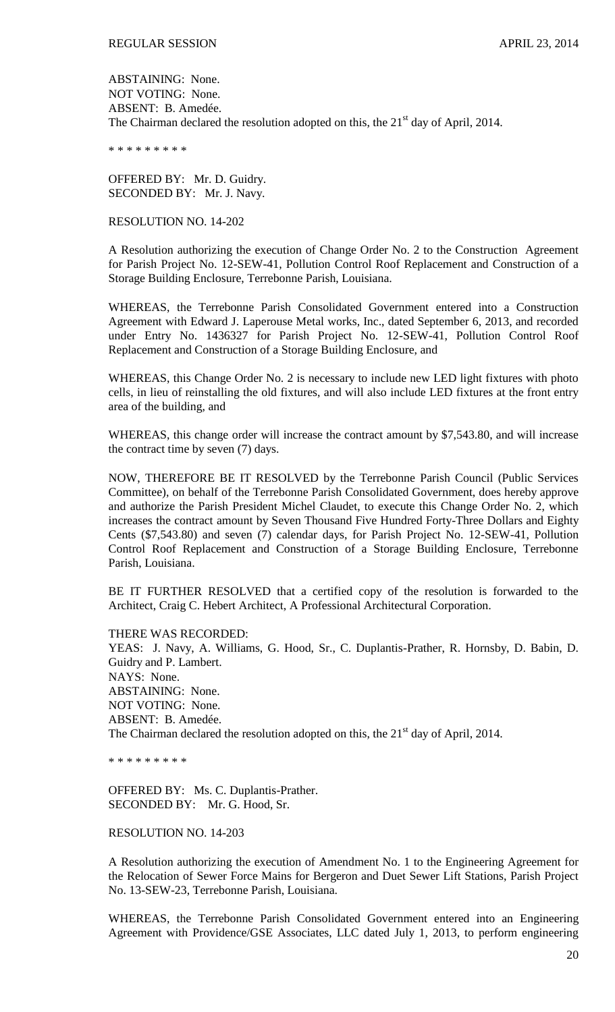ABSTAINING: None. NOT VOTING: None. ABSENT: B. Amedée. The Chairman declared the resolution adopted on this, the 21<sup>st</sup> day of April, 2014.

\* \* \* \* \* \* \* \* \*

OFFERED BY: Mr. D. Guidry. SECONDED BY: Mr. J. Navy.

#### RESOLUTION NO. 14-202

A Resolution authorizing the execution of Change Order No. 2 to the Construction Agreement for Parish Project No. 12-SEW-41, Pollution Control Roof Replacement and Construction of a Storage Building Enclosure, Terrebonne Parish, Louisiana.

WHEREAS, the Terrebonne Parish Consolidated Government entered into a Construction Agreement with Edward J. Laperouse Metal works, Inc., dated September 6, 2013, and recorded under Entry No. 1436327 for Parish Project No. 12-SEW-41, Pollution Control Roof Replacement and Construction of a Storage Building Enclosure, and

WHEREAS, this Change Order No. 2 is necessary to include new LED light fixtures with photo cells, in lieu of reinstalling the old fixtures, and will also include LED fixtures at the front entry area of the building, and

WHEREAS, this change order will increase the contract amount by \$7,543.80, and will increase the contract time by seven (7) days.

NOW, THEREFORE BE IT RESOLVED by the Terrebonne Parish Council (Public Services Committee), on behalf of the Terrebonne Parish Consolidated Government, does hereby approve and authorize the Parish President Michel Claudet, to execute this Change Order No. 2, which increases the contract amount by Seven Thousand Five Hundred Forty-Three Dollars and Eighty Cents (\$7,543.80) and seven (7) calendar days, for Parish Project No. 12-SEW-41, Pollution Control Roof Replacement and Construction of a Storage Building Enclosure, Terrebonne Parish, Louisiana.

BE IT FURTHER RESOLVED that a certified copy of the resolution is forwarded to the Architect, Craig C. Hebert Architect, A Professional Architectural Corporation.

THERE WAS RECORDED: YEAS: J. Navy, A. Williams, G. Hood, Sr., C. Duplantis-Prather, R. Hornsby, D. Babin, D. Guidry and P. Lambert. NAYS: None. ABSTAINING: None. NOT VOTING: None. ABSENT: B. Amedée. The Chairman declared the resolution adopted on this, the 21<sup>st</sup> day of April, 2014.

\* \* \* \* \* \* \* \* \*

OFFERED BY: Ms. C. Duplantis-Prather. SECONDED BY: Mr. G. Hood, Sr.

#### RESOLUTION NO. 14-203

A Resolution authorizing the execution of Amendment No. 1 to the Engineering Agreement for the Relocation of Sewer Force Mains for Bergeron and Duet Sewer Lift Stations, Parish Project No. 13-SEW-23, Terrebonne Parish, Louisiana.

WHEREAS, the Terrebonne Parish Consolidated Government entered into an Engineering Agreement with Providence/GSE Associates, LLC dated July 1, 2013, to perform engineering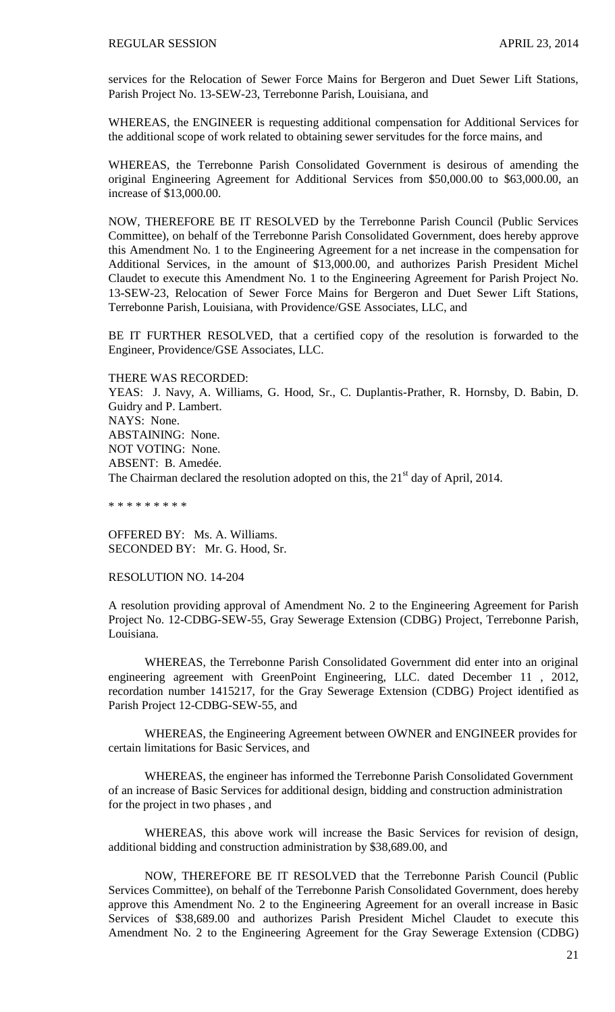services for the Relocation of Sewer Force Mains for Bergeron and Duet Sewer Lift Stations, Parish Project No. 13-SEW-23, Terrebonne Parish, Louisiana, and

WHEREAS, the ENGINEER is requesting additional compensation for Additional Services for the additional scope of work related to obtaining sewer servitudes for the force mains, and

WHEREAS, the Terrebonne Parish Consolidated Government is desirous of amending the original Engineering Agreement for Additional Services from \$50,000.00 to \$63,000.00, an increase of \$13,000.00.

NOW, THEREFORE BE IT RESOLVED by the Terrebonne Parish Council (Public Services Committee), on behalf of the Terrebonne Parish Consolidated Government, does hereby approve this Amendment No. 1 to the Engineering Agreement for a net increase in the compensation for Additional Services, in the amount of \$13,000.00, and authorizes Parish President Michel Claudet to execute this Amendment No. 1 to the Engineering Agreement for Parish Project No. 13-SEW-23, Relocation of Sewer Force Mains for Bergeron and Duet Sewer Lift Stations, Terrebonne Parish, Louisiana, with Providence/GSE Associates, LLC, and

BE IT FURTHER RESOLVED, that a certified copy of the resolution is forwarded to the Engineer, Providence/GSE Associates, LLC.

THERE WAS RECORDED:

YEAS: J. Navy, A. Williams, G. Hood, Sr., C. Duplantis-Prather, R. Hornsby, D. Babin, D. Guidry and P. Lambert. NAYS: None. ABSTAINING: None. NOT VOTING: None. ABSENT: B. Amedée. The Chairman declared the resolution adopted on this, the 21<sup>st</sup> day of April, 2014.

\* \* \* \* \* \* \* \* \*

OFFERED BY: Ms. A. Williams. SECONDED BY: Mr. G. Hood, Sr.

RESOLUTION NO. 14-204

A resolution providing approval of Amendment No. 2 to the Engineering Agreement for Parish Project No. 12-CDBG-SEW-55, Gray Sewerage Extension (CDBG) Project, Terrebonne Parish, Louisiana.

WHEREAS, the Terrebonne Parish Consolidated Government did enter into an original engineering agreement with GreenPoint Engineering, LLC. dated December 11 , 2012, recordation number 1415217, for the Gray Sewerage Extension (CDBG) Project identified as Parish Project 12-CDBG-SEW-55, and

WHEREAS, the Engineering Agreement between OWNER and ENGINEER provides for certain limitations for Basic Services, and

WHEREAS, the engineer has informed the Terrebonne Parish Consolidated Government of an increase of Basic Services for additional design, bidding and construction administration for the project in two phases , and

WHEREAS, this above work will increase the Basic Services for revision of design, additional bidding and construction administration by \$38,689.00, and

NOW, THEREFORE BE IT RESOLVED that the Terrebonne Parish Council (Public Services Committee), on behalf of the Terrebonne Parish Consolidated Government, does hereby approve this Amendment No. 2 to the Engineering Agreement for an overall increase in Basic Services of \$38,689.00 and authorizes Parish President Michel Claudet to execute this Amendment No. 2 to the Engineering Agreement for the Gray Sewerage Extension (CDBG)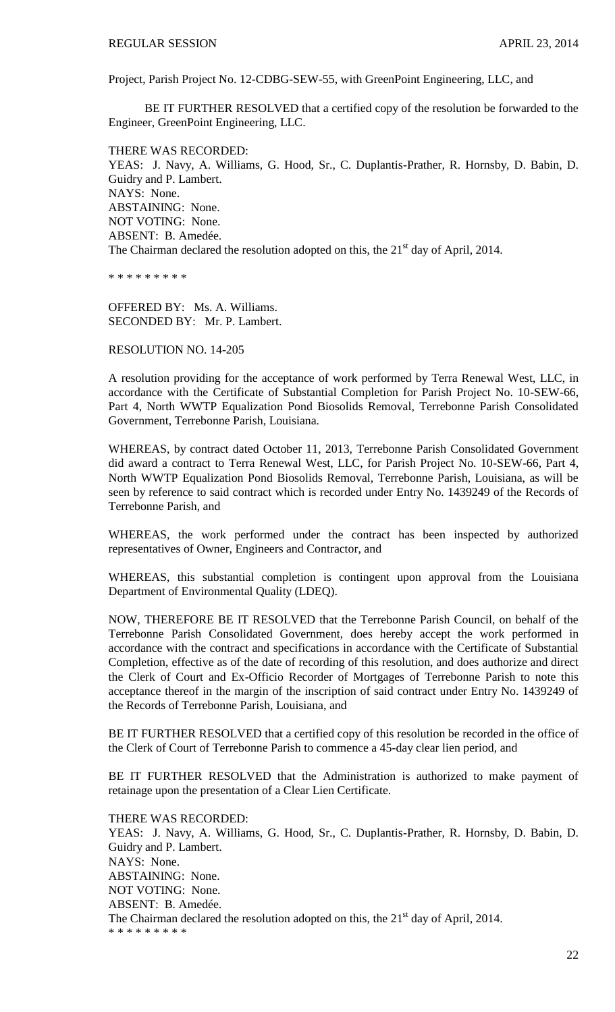Project, Parish Project No. 12-CDBG-SEW-55, with GreenPoint Engineering, LLC, and

BE IT FURTHER RESOLVED that a certified copy of the resolution be forwarded to the Engineer, GreenPoint Engineering, LLC.

THERE WAS RECORDED:

YEAS: J. Navy, A. Williams, G. Hood, Sr., C. Duplantis-Prather, R. Hornsby, D. Babin, D. Guidry and P. Lambert. NAYS: None. ABSTAINING: None. NOT VOTING: None. ABSENT: B. Amedée. The Chairman declared the resolution adopted on this, the 21<sup>st</sup> day of April, 2014.

\* \* \* \* \* \* \* \* \*

OFFERED BY: Ms. A. Williams. SECONDED BY: Mr. P. Lambert.

RESOLUTION NO. 14-205

A resolution providing for the acceptance of work performed by Terra Renewal West, LLC, in accordance with the Certificate of Substantial Completion for Parish Project No. 10-SEW-66, Part 4, North WWTP Equalization Pond Biosolids Removal, Terrebonne Parish Consolidated Government, Terrebonne Parish, Louisiana.

WHEREAS, by contract dated October 11, 2013, Terrebonne Parish Consolidated Government did award a contract to Terra Renewal West, LLC, for Parish Project No. 10-SEW-66, Part 4, North WWTP Equalization Pond Biosolids Removal, Terrebonne Parish, Louisiana, as will be seen by reference to said contract which is recorded under Entry No. 1439249 of the Records of Terrebonne Parish, and

WHEREAS, the work performed under the contract has been inspected by authorized representatives of Owner, Engineers and Contractor, and

WHEREAS, this substantial completion is contingent upon approval from the Louisiana Department of Environmental Quality (LDEQ).

NOW, THEREFORE BE IT RESOLVED that the Terrebonne Parish Council, on behalf of the Terrebonne Parish Consolidated Government, does hereby accept the work performed in accordance with the contract and specifications in accordance with the Certificate of Substantial Completion, effective as of the date of recording of this resolution, and does authorize and direct the Clerk of Court and Ex-Officio Recorder of Mortgages of Terrebonne Parish to note this acceptance thereof in the margin of the inscription of said contract under Entry No. 1439249 of the Records of Terrebonne Parish, Louisiana, and

BE IT FURTHER RESOLVED that a certified copy of this resolution be recorded in the office of the Clerk of Court of Terrebonne Parish to commence a 45-day clear lien period, and

BE IT FURTHER RESOLVED that the Administration is authorized to make payment of retainage upon the presentation of a Clear Lien Certificate.

THERE WAS RECORDED:

YEAS: J. Navy, A. Williams, G. Hood, Sr., C. Duplantis-Prather, R. Hornsby, D. Babin, D. Guidry and P. Lambert. NAYS: None. ABSTAINING: None. NOT VOTING: None. ABSENT: B. Amedée. The Chairman declared the resolution adopted on this, the  $21<sup>st</sup>$  day of April, 2014. \* \* \* \* \* \* \* \* \*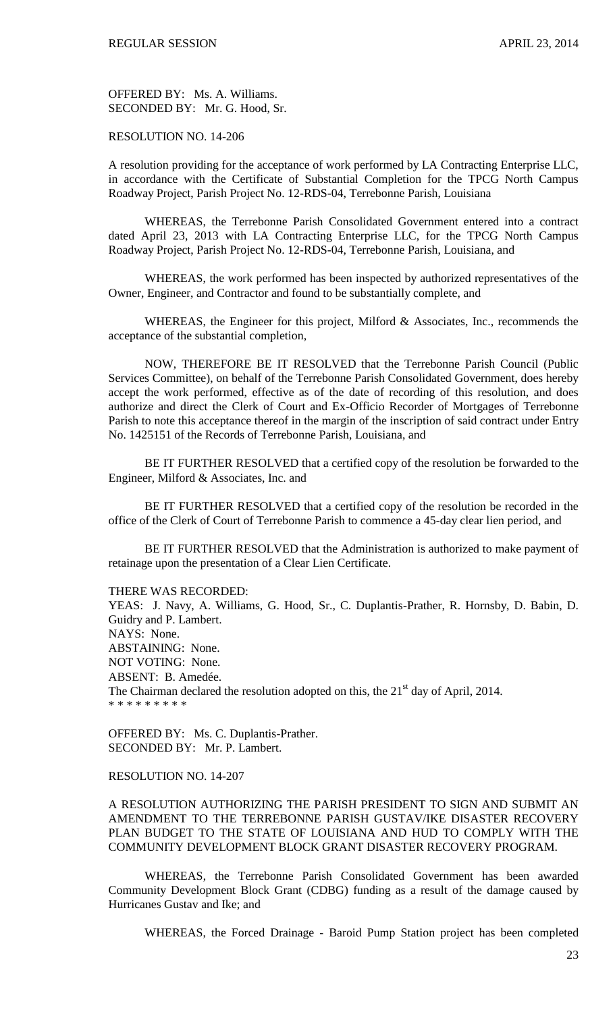OFFERED BY: Ms. A. Williams. SECONDED BY: Mr. G. Hood, Sr.

## RESOLUTION NO. 14-206

A resolution providing for the acceptance of work performed by LA Contracting Enterprise LLC, in accordance with the Certificate of Substantial Completion for the TPCG North Campus Roadway Project, Parish Project No. 12-RDS-04, Terrebonne Parish, Louisiana

WHEREAS, the Terrebonne Parish Consolidated Government entered into a contract dated April 23, 2013 with LA Contracting Enterprise LLC, for the TPCG North Campus Roadway Project, Parish Project No. 12-RDS-04, Terrebonne Parish, Louisiana, and

WHEREAS, the work performed has been inspected by authorized representatives of the Owner, Engineer, and Contractor and found to be substantially complete, and

WHEREAS, the Engineer for this project, Milford & Associates, Inc., recommends the acceptance of the substantial completion,

NOW, THEREFORE BE IT RESOLVED that the Terrebonne Parish Council (Public Services Committee), on behalf of the Terrebonne Parish Consolidated Government, does hereby accept the work performed, effective as of the date of recording of this resolution, and does authorize and direct the Clerk of Court and Ex-Officio Recorder of Mortgages of Terrebonne Parish to note this acceptance thereof in the margin of the inscription of said contract under Entry No. 1425151 of the Records of Terrebonne Parish, Louisiana, and

BE IT FURTHER RESOLVED that a certified copy of the resolution be forwarded to the Engineer, Milford & Associates, Inc. and

BE IT FURTHER RESOLVED that a certified copy of the resolution be recorded in the office of the Clerk of Court of Terrebonne Parish to commence a 45-day clear lien period, and

BE IT FURTHER RESOLVED that the Administration is authorized to make payment of retainage upon the presentation of a Clear Lien Certificate.

THERE WAS RECORDED:

YEAS: J. Navy, A. Williams, G. Hood, Sr., C. Duplantis-Prather, R. Hornsby, D. Babin, D. Guidry and P. Lambert. NAYS: None. ABSTAINING: None. NOT VOTING: None. ABSENT: B. Amedée. The Chairman declared the resolution adopted on this, the  $21<sup>st</sup>$  day of April, 2014. \* \* \* \* \* \* \* \* \*

OFFERED BY: Ms. C. Duplantis-Prather. SECONDED BY: Mr. P. Lambert.

### RESOLUTION NO. 14-207

A RESOLUTION AUTHORIZING THE PARISH PRESIDENT TO SIGN AND SUBMIT AN AMENDMENT TO THE TERREBONNE PARISH GUSTAV/IKE DISASTER RECOVERY PLAN BUDGET TO THE STATE OF LOUISIANA AND HUD TO COMPLY WITH THE COMMUNITY DEVELOPMENT BLOCK GRANT DISASTER RECOVERY PROGRAM.

WHEREAS, the Terrebonne Parish Consolidated Government has been awarded Community Development Block Grant (CDBG) funding as a result of the damage caused by Hurricanes Gustav and Ike; and

WHEREAS, the Forced Drainage - Baroid Pump Station project has been completed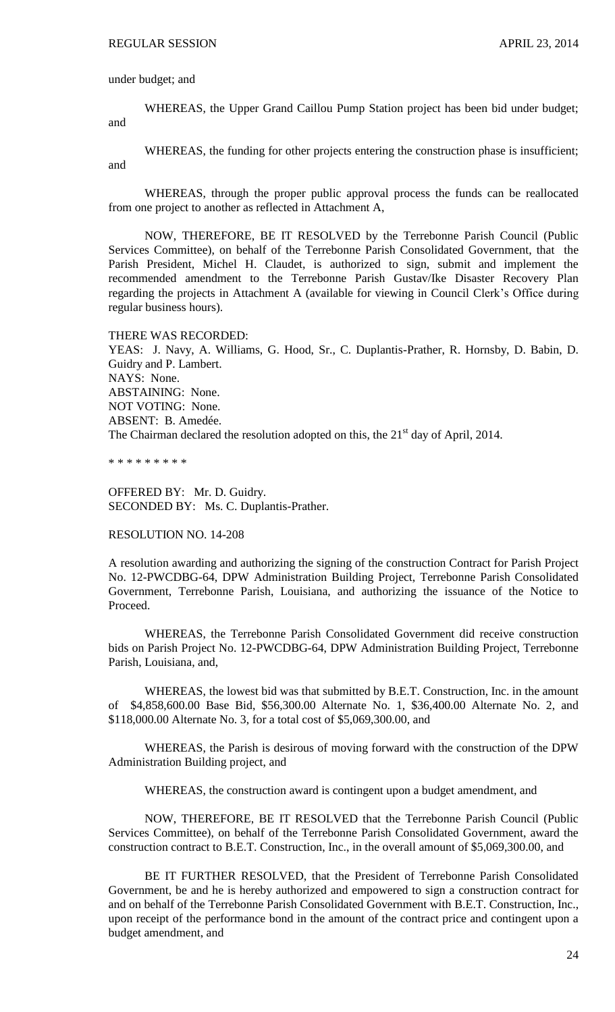under budget; and

WHEREAS, the Upper Grand Caillou Pump Station project has been bid under budget; and

WHEREAS, the funding for other projects entering the construction phase is insufficient; and

WHEREAS, through the proper public approval process the funds can be reallocated from one project to another as reflected in Attachment A,

NOW, THEREFORE, BE IT RESOLVED by the Terrebonne Parish Council (Public Services Committee), on behalf of the Terrebonne Parish Consolidated Government, that the Parish President, Michel H. Claudet, is authorized to sign, submit and implement the recommended amendment to the Terrebonne Parish Gustav/Ike Disaster Recovery Plan regarding the projects in Attachment A (available for viewing in Council Clerk's Office during regular business hours).

THERE WAS RECORDED: YEAS: J. Navy, A. Williams, G. Hood, Sr., C. Duplantis-Prather, R. Hornsby, D. Babin, D. Guidry and P. Lambert. NAYS: None. ABSTAINING: None. NOT VOTING: None. ABSENT: B. Amedée. The Chairman declared the resolution adopted on this, the  $21<sup>st</sup>$  day of April, 2014.

\* \* \* \* \* \* \* \* \*

OFFERED BY: Mr. D. Guidry. SECONDED BY: Ms. C. Duplantis-Prather.

RESOLUTION NO. 14-208

A resolution awarding and authorizing the signing of the construction Contract for Parish Project No. 12-PWCDBG-64, DPW Administration Building Project, Terrebonne Parish Consolidated Government, Terrebonne Parish, Louisiana, and authorizing the issuance of the Notice to Proceed.

WHEREAS, the Terrebonne Parish Consolidated Government did receive construction bids on Parish Project No. 12-PWCDBG-64, DPW Administration Building Project, Terrebonne Parish, Louisiana, and,

WHEREAS, the lowest bid was that submitted by B.E.T. Construction, Inc. in the amount of \$4,858,600.00 Base Bid, \$56,300.00 Alternate No. 1, \$36,400.00 Alternate No. 2, and \$118,000.00 Alternate No. 3, for a total cost of \$5,069,300.00, and

WHEREAS, the Parish is desirous of moving forward with the construction of the DPW Administration Building project, and

WHEREAS, the construction award is contingent upon a budget amendment, and

NOW, THEREFORE, BE IT RESOLVED that the Terrebonne Parish Council (Public Services Committee), on behalf of the Terrebonne Parish Consolidated Government, award the construction contract to B.E.T. Construction, Inc., in the overall amount of \$5,069,300.00, and

BE IT FURTHER RESOLVED, that the President of Terrebonne Parish Consolidated Government, be and he is hereby authorized and empowered to sign a construction contract for and on behalf of the Terrebonne Parish Consolidated Government with B.E.T. Construction, Inc., upon receipt of the performance bond in the amount of the contract price and contingent upon a budget amendment, and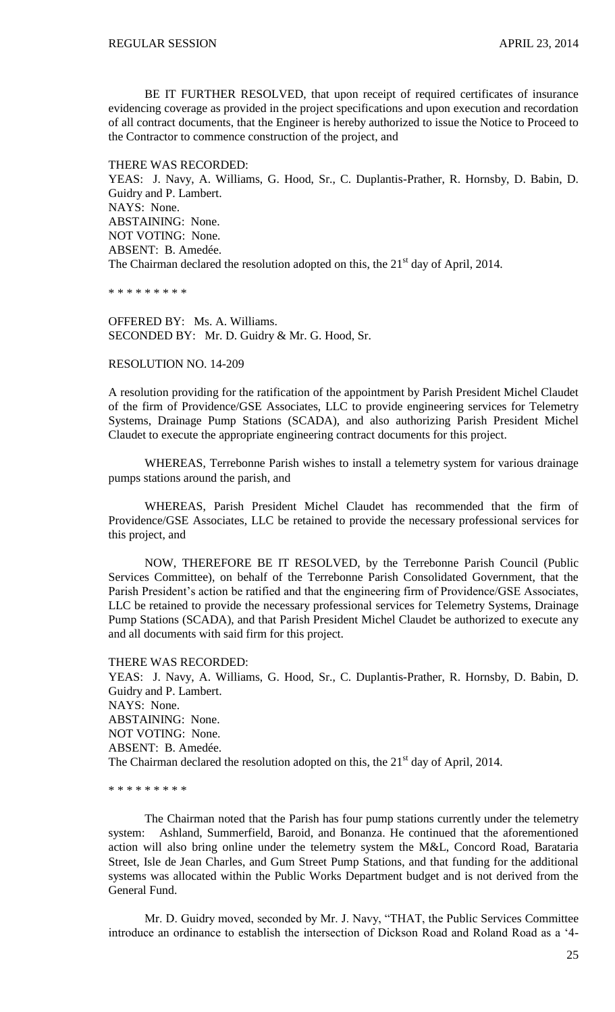BE IT FURTHER RESOLVED, that upon receipt of required certificates of insurance evidencing coverage as provided in the project specifications and upon execution and recordation of all contract documents, that the Engineer is hereby authorized to issue the Notice to Proceed to the Contractor to commence construction of the project, and

THERE WAS RECORDED:

YEAS: J. Navy, A. Williams, G. Hood, Sr., C. Duplantis-Prather, R. Hornsby, D. Babin, D. Guidry and P. Lambert. NAYS: None. ABSTAINING: None. NOT VOTING: None. ABSENT: B. Amedée. The Chairman declared the resolution adopted on this, the  $21<sup>st</sup>$  day of April, 2014.

\* \* \* \* \* \* \* \* \*

OFFERED BY: Ms. A. Williams. SECONDED BY: Mr. D. Guidry & Mr. G. Hood, Sr.

RESOLUTION NO. 14-209

A resolution providing for the ratification of the appointment by Parish President Michel Claudet of the firm of Providence/GSE Associates, LLC to provide engineering services for Telemetry Systems, Drainage Pump Stations (SCADA), and also authorizing Parish President Michel Claudet to execute the appropriate engineering contract documents for this project.

WHEREAS, Terrebonne Parish wishes to install a telemetry system for various drainage pumps stations around the parish, and

WHEREAS, Parish President Michel Claudet has recommended that the firm of Providence/GSE Associates, LLC be retained to provide the necessary professional services for this project, and

NOW, THEREFORE BE IT RESOLVED, by the Terrebonne Parish Council (Public Services Committee), on behalf of the Terrebonne Parish Consolidated Government, that the Parish President's action be ratified and that the engineering firm of Providence/GSE Associates, LLC be retained to provide the necessary professional services for Telemetry Systems, Drainage Pump Stations (SCADA), and that Parish President Michel Claudet be authorized to execute any and all documents with said firm for this project.

THERE WAS RECORDED:

YEAS: J. Navy, A. Williams, G. Hood, Sr., C. Duplantis-Prather, R. Hornsby, D. Babin, D. Guidry and P. Lambert. NAYS: None. ABSTAINING: None. NOT VOTING: None. ABSENT: B. Amedée. The Chairman declared the resolution adopted on this, the  $21<sup>st</sup>$  day of April, 2014.

\* \* \* \* \* \* \* \* \*

The Chairman noted that the Parish has four pump stations currently under the telemetry system: Ashland, Summerfield, Baroid, and Bonanza. He continued that the aforementioned action will also bring online under the telemetry system the M&L, Concord Road, Barataria Street, Isle de Jean Charles, and Gum Street Pump Stations, and that funding for the additional systems was allocated within the Public Works Department budget and is not derived from the General Fund.

Mr. D. Guidry moved, seconded by Mr. J. Navy, "THAT, the Public Services Committee introduce an ordinance to establish the intersection of Dickson Road and Roland Road as a '4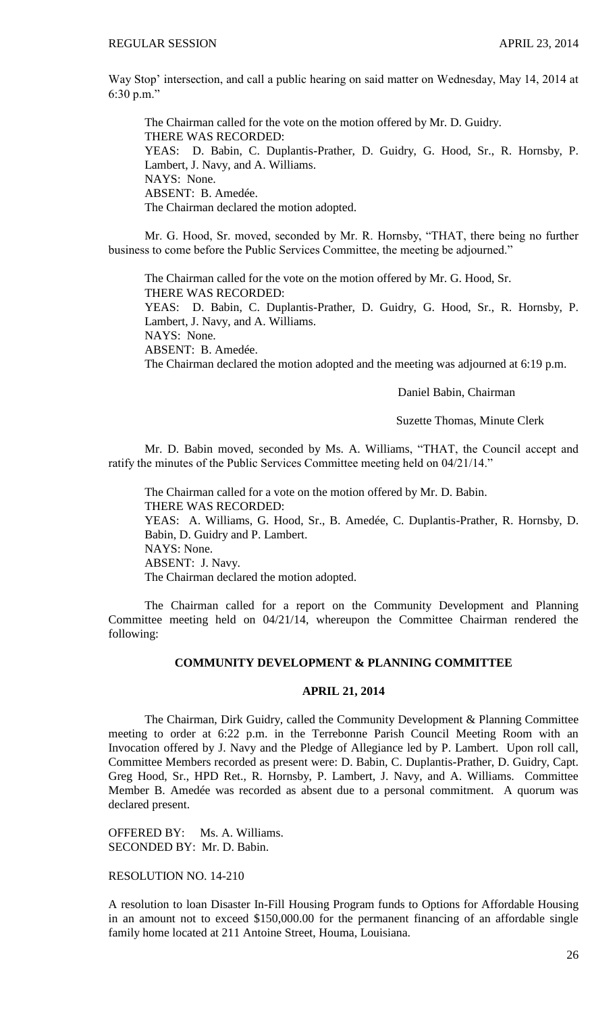Way Stop' intersection, and call a public hearing on said matter on Wednesday, May 14, 2014 at 6:30 p.m."

The Chairman called for the vote on the motion offered by Mr. D. Guidry. THERE WAS RECORDED: YEAS: D. Babin, C. Duplantis-Prather, D. Guidry, G. Hood, Sr., R. Hornsby, P. Lambert, J. Navy, and A. Williams. NAYS: None. ABSENT: B. Amedée. The Chairman declared the motion adopted.

Mr. G. Hood, Sr. moved, seconded by Mr. R. Hornsby, "THAT, there being no further business to come before the Public Services Committee, the meeting be adjourned."

The Chairman called for the vote on the motion offered by Mr. G. Hood, Sr. THERE WAS RECORDED: YEAS: D. Babin, C. Duplantis-Prather, D. Guidry, G. Hood, Sr., R. Hornsby, P. Lambert, J. Navy, and A. Williams. NAYS: None. ABSENT: B. Amedée. The Chairman declared the motion adopted and the meeting was adjourned at 6:19 p.m.

Daniel Babin, Chairman

Suzette Thomas, Minute Clerk

Mr. D. Babin moved, seconded by Ms. A. Williams, "THAT, the Council accept and ratify the minutes of the Public Services Committee meeting held on 04/21/14."

The Chairman called for a vote on the motion offered by Mr. D. Babin. THERE WAS RECORDED: YEAS: A. Williams, G. Hood, Sr., B. Amedée, C. Duplantis-Prather, R. Hornsby, D. Babin, D. Guidry and P. Lambert. NAYS: None. ABSENT: J. Navy. The Chairman declared the motion adopted.

The Chairman called for a report on the Community Development and Planning Committee meeting held on 04/21/14, whereupon the Committee Chairman rendered the following:

### **COMMUNITY DEVELOPMENT & PLANNING COMMITTEE**

### **APRIL 21, 2014**

The Chairman, Dirk Guidry, called the Community Development & Planning Committee meeting to order at 6:22 p.m. in the Terrebonne Parish Council Meeting Room with an Invocation offered by J. Navy and the Pledge of Allegiance led by P. Lambert. Upon roll call, Committee Members recorded as present were: D. Babin, C. Duplantis-Prather, D. Guidry, Capt. Greg Hood, Sr., HPD Ret., R. Hornsby, P. Lambert, J. Navy, and A. Williams. Committee Member B. Amedée was recorded as absent due to a personal commitment. A quorum was declared present.

OFFERED BY: Ms. A. Williams. SECONDED BY: Mr. D. Babin.

## RESOLUTION NO. 14-210

A resolution to loan Disaster In-Fill Housing Program funds to Options for Affordable Housing in an amount not to exceed \$150,000.00 for the permanent financing of an affordable single family home located at 211 Antoine Street, Houma, Louisiana.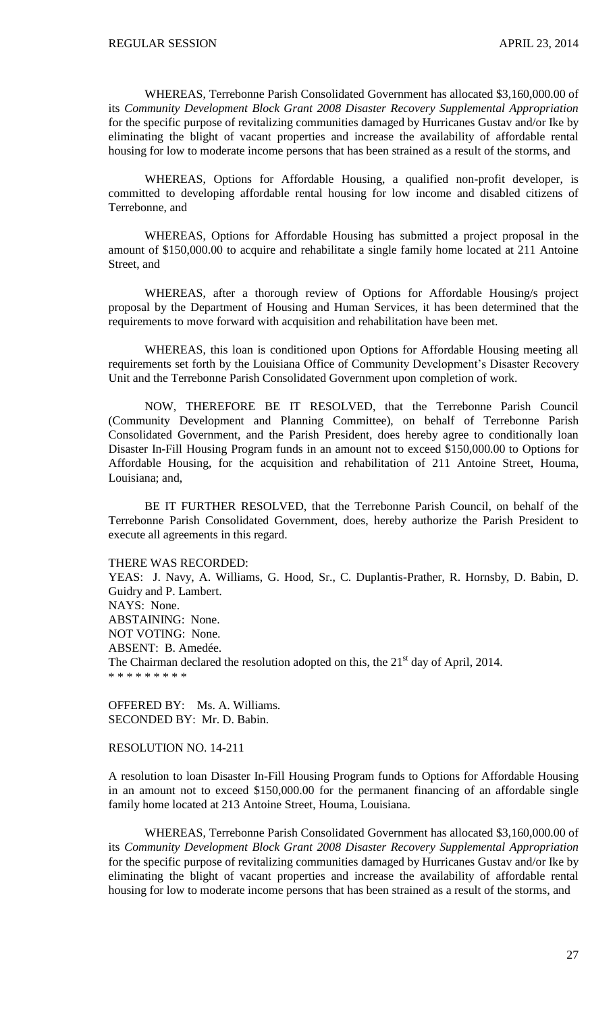WHEREAS, Terrebonne Parish Consolidated Government has allocated \$3,160,000.00 of its *Community Development Block Grant 2008 Disaster Recovery Supplemental Appropriation* for the specific purpose of revitalizing communities damaged by Hurricanes Gustav and/or Ike by eliminating the blight of vacant properties and increase the availability of affordable rental housing for low to moderate income persons that has been strained as a result of the storms, and

WHEREAS, Options for Affordable Housing, a qualified non-profit developer, is committed to developing affordable rental housing for low income and disabled citizens of Terrebonne, and

WHEREAS, Options for Affordable Housing has submitted a project proposal in the amount of \$150,000.00 to acquire and rehabilitate a single family home located at 211 Antoine Street, and

WHEREAS, after a thorough review of Options for Affordable Housing/s project proposal by the Department of Housing and Human Services, it has been determined that the requirements to move forward with acquisition and rehabilitation have been met.

WHEREAS, this loan is conditioned upon Options for Affordable Housing meeting all requirements set forth by the Louisiana Office of Community Development's Disaster Recovery Unit and the Terrebonne Parish Consolidated Government upon completion of work.

NOW, THEREFORE BE IT RESOLVED, that the Terrebonne Parish Council (Community Development and Planning Committee), on behalf of Terrebonne Parish Consolidated Government, and the Parish President, does hereby agree to conditionally loan Disaster In-Fill Housing Program funds in an amount not to exceed \$150,000.00 to Options for Affordable Housing, for the acquisition and rehabilitation of 211 Antoine Street, Houma, Louisiana; and,

BE IT FURTHER RESOLVED, that the Terrebonne Parish Council, on behalf of the Terrebonne Parish Consolidated Government, does, hereby authorize the Parish President to execute all agreements in this regard.

THERE WAS RECORDED:

YEAS: J. Navy, A. Williams, G. Hood, Sr., C. Duplantis-Prather, R. Hornsby, D. Babin, D. Guidry and P. Lambert. NAYS: None. ABSTAINING: None. NOT VOTING: None. ABSENT: B. Amedée. The Chairman declared the resolution adopted on this, the  $21<sup>st</sup>$  day of April, 2014. \* \* \* \* \* \* \* \* \*

OFFERED BY: Ms. A. Williams. SECONDED BY: Mr. D. Babin.

### RESOLUTION NO. 14-211

A resolution to loan Disaster In-Fill Housing Program funds to Options for Affordable Housing in an amount not to exceed \$150,000.00 for the permanent financing of an affordable single family home located at 213 Antoine Street, Houma, Louisiana.

WHEREAS, Terrebonne Parish Consolidated Government has allocated \$3,160,000.00 of its *Community Development Block Grant 2008 Disaster Recovery Supplemental Appropriation* for the specific purpose of revitalizing communities damaged by Hurricanes Gustav and/or Ike by eliminating the blight of vacant properties and increase the availability of affordable rental housing for low to moderate income persons that has been strained as a result of the storms, and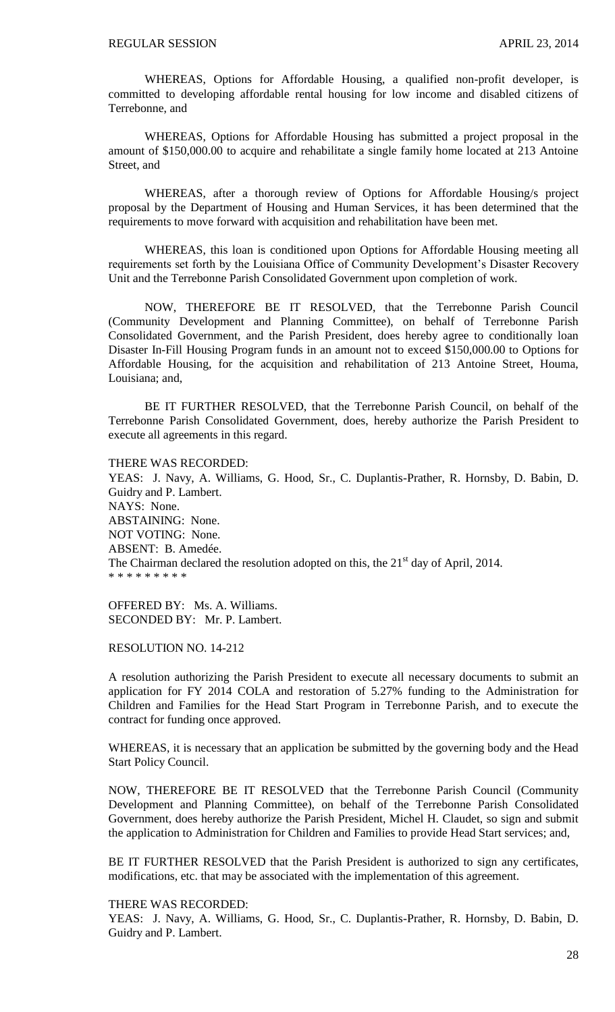WHEREAS, Options for Affordable Housing, a qualified non-profit developer, is committed to developing affordable rental housing for low income and disabled citizens of Terrebonne, and

WHEREAS, Options for Affordable Housing has submitted a project proposal in the amount of \$150,000.00 to acquire and rehabilitate a single family home located at 213 Antoine Street, and

WHEREAS, after a thorough review of Options for Affordable Housing/s project proposal by the Department of Housing and Human Services, it has been determined that the requirements to move forward with acquisition and rehabilitation have been met.

WHEREAS, this loan is conditioned upon Options for Affordable Housing meeting all requirements set forth by the Louisiana Office of Community Development's Disaster Recovery Unit and the Terrebonne Parish Consolidated Government upon completion of work.

NOW, THEREFORE BE IT RESOLVED, that the Terrebonne Parish Council (Community Development and Planning Committee), on behalf of Terrebonne Parish Consolidated Government, and the Parish President, does hereby agree to conditionally loan Disaster In-Fill Housing Program funds in an amount not to exceed \$150,000.00 to Options for Affordable Housing, for the acquisition and rehabilitation of 213 Antoine Street, Houma, Louisiana; and,

BE IT FURTHER RESOLVED, that the Terrebonne Parish Council, on behalf of the Terrebonne Parish Consolidated Government, does, hereby authorize the Parish President to execute all agreements in this regard.

THERE WAS RECORDED:

YEAS: J. Navy, A. Williams, G. Hood, Sr., C. Duplantis-Prather, R. Hornsby, D. Babin, D. Guidry and P. Lambert. NAYS: None. ABSTAINING: None. NOT VOTING: None. ABSENT: B. Amedée. The Chairman declared the resolution adopted on this, the  $21<sup>st</sup>$  day of April, 2014. \* \* \* \* \* \* \* \* \*

OFFERED BY: Ms. A. Williams. SECONDED BY: Mr. P. Lambert.

#### RESOLUTION NO. 14-212

A resolution authorizing the Parish President to execute all necessary documents to submit an application for FY 2014 COLA and restoration of 5.27% funding to the Administration for Children and Families for the Head Start Program in Terrebonne Parish, and to execute the contract for funding once approved.

WHEREAS, it is necessary that an application be submitted by the governing body and the Head Start Policy Council.

NOW, THEREFORE BE IT RESOLVED that the Terrebonne Parish Council (Community Development and Planning Committee), on behalf of the Terrebonne Parish Consolidated Government, does hereby authorize the Parish President, Michel H. Claudet, so sign and submit the application to Administration for Children and Families to provide Head Start services; and,

BE IT FURTHER RESOLVED that the Parish President is authorized to sign any certificates, modifications, etc. that may be associated with the implementation of this agreement.

#### THERE WAS RECORDED:

YEAS: J. Navy, A. Williams, G. Hood, Sr., C. Duplantis-Prather, R. Hornsby, D. Babin, D. Guidry and P. Lambert.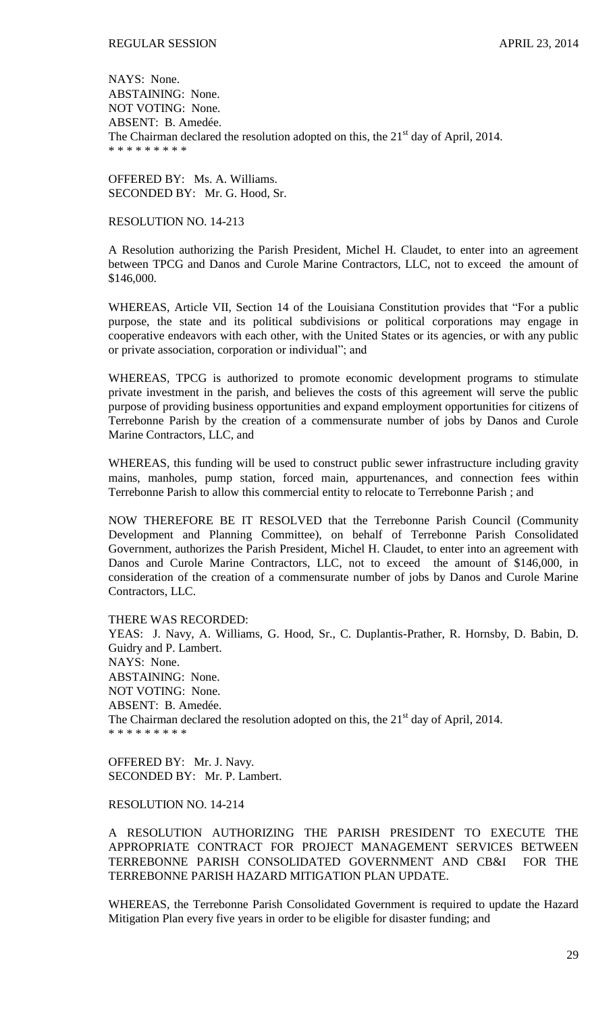NAYS: None. ABSTAINING: None. NOT VOTING: None. ABSENT: B. Amedée. The Chairman declared the resolution adopted on this, the  $21<sup>st</sup>$  day of April, 2014. \* \* \* \* \* \* \* \* \*

OFFERED BY: Ms. A. Williams. SECONDED BY: Mr. G. Hood, Sr.

### RESOLUTION NO. 14-213

A Resolution authorizing the Parish President, Michel H. Claudet, to enter into an agreement between TPCG and Danos and Curole Marine Contractors, LLC, not to exceed the amount of \$146,000.

WHEREAS, Article VII, Section 14 of the Louisiana Constitution provides that "For a public purpose, the state and its political subdivisions or political corporations may engage in cooperative endeavors with each other, with the United States or its agencies, or with any public or private association, corporation or individual"; and

WHEREAS, TPCG is authorized to promote economic development programs to stimulate private investment in the parish, and believes the costs of this agreement will serve the public purpose of providing business opportunities and expand employment opportunities for citizens of Terrebonne Parish by the creation of a commensurate number of jobs by Danos and Curole Marine Contractors, LLC, and

WHEREAS, this funding will be used to construct public sewer infrastructure including gravity mains, manholes, pump station, forced main, appurtenances, and connection fees within Terrebonne Parish to allow this commercial entity to relocate to Terrebonne Parish ; and

NOW THEREFORE BE IT RESOLVED that the Terrebonne Parish Council (Community Development and Planning Committee), on behalf of Terrebonne Parish Consolidated Government, authorizes the Parish President, Michel H. Claudet, to enter into an agreement with Danos and Curole Marine Contractors, LLC, not to exceed the amount of \$146,000, in consideration of the creation of a commensurate number of jobs by Danos and Curole Marine Contractors, LLC.

#### THERE WAS RECORDED:

YEAS: J. Navy, A. Williams, G. Hood, Sr., C. Duplantis-Prather, R. Hornsby, D. Babin, D. Guidry and P. Lambert. NAYS: None. ABSTAINING: None. NOT VOTING: None. ABSENT: B. Amedée. The Chairman declared the resolution adopted on this, the  $21<sup>st</sup>$  day of April, 2014. \* \* \* \* \* \* \* \* \*

OFFERED BY: Mr. J. Navy. SECONDED BY: Mr. P. Lambert.

# RESOLUTION NO. 14-214

A RESOLUTION AUTHORIZING THE PARISH PRESIDENT TO EXECUTE THE APPROPRIATE CONTRACT FOR PROJECT MANAGEMENT SERVICES BETWEEN TERREBONNE PARISH CONSOLIDATED GOVERNMENT AND CB&I FOR THE TERREBONNE PARISH HAZARD MITIGATION PLAN UPDATE.

WHEREAS, the Terrebonne Parish Consolidated Government is required to update the Hazard Mitigation Plan every five years in order to be eligible for disaster funding; and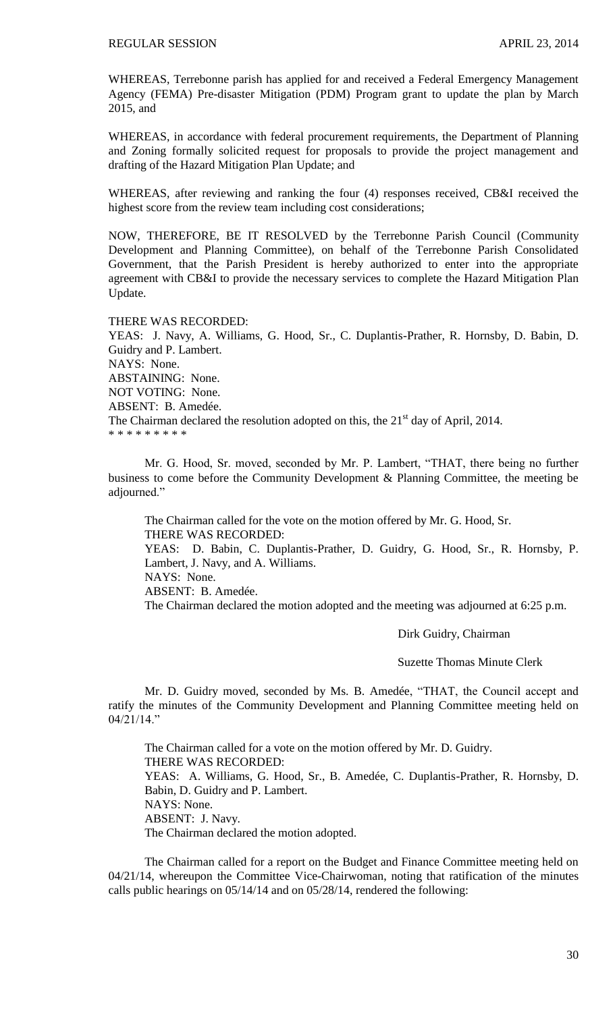WHEREAS, Terrebonne parish has applied for and received a Federal Emergency Management Agency (FEMA) Pre-disaster Mitigation (PDM) Program grant to update the plan by March 2015, and

WHEREAS, in accordance with federal procurement requirements, the Department of Planning and Zoning formally solicited request for proposals to provide the project management and drafting of the Hazard Mitigation Plan Update; and

WHEREAS, after reviewing and ranking the four (4) responses received, CB&I received the highest score from the review team including cost considerations;

NOW, THEREFORE, BE IT RESOLVED by the Terrebonne Parish Council (Community Development and Planning Committee), on behalf of the Terrebonne Parish Consolidated Government, that the Parish President is hereby authorized to enter into the appropriate agreement with CB&I to provide the necessary services to complete the Hazard Mitigation Plan Update.

THERE WAS RECORDED:

YEAS: J. Navy, A. Williams, G. Hood, Sr., C. Duplantis-Prather, R. Hornsby, D. Babin, D. Guidry and P. Lambert. NAYS: None. ABSTAINING: None. NOT VOTING: None. ABSENT: B. Amedée. The Chairman declared the resolution adopted on this, the  $21<sup>st</sup>$  day of April, 2014. \* \* \* \* \* \* \* \* \*

Mr. G. Hood, Sr. moved, seconded by Mr. P. Lambert, "THAT, there being no further business to come before the Community Development & Planning Committee, the meeting be adjourned."

The Chairman called for the vote on the motion offered by Mr. G. Hood, Sr. THERE WAS RECORDED:

YEAS: D. Babin, C. Duplantis-Prather, D. Guidry, G. Hood, Sr., R. Hornsby, P. Lambert, J. Navy, and A. Williams.

NAYS: None.

ABSENT: B. Amedée.

The Chairman declared the motion adopted and the meeting was adjourned at 6:25 p.m.

Dirk Guidry, Chairman

Suzette Thomas Minute Clerk

Mr. D. Guidry moved, seconded by Ms. B. Amedée, "THAT, the Council accept and ratify the minutes of the Community Development and Planning Committee meeting held on  $04/21/14$ "

The Chairman called for a vote on the motion offered by Mr. D. Guidry. THERE WAS RECORDED: YEAS: A. Williams, G. Hood, Sr., B. Amedée, C. Duplantis-Prather, R. Hornsby, D. Babin, D. Guidry and P. Lambert. NAYS: None. ABSENT: J. Navy. The Chairman declared the motion adopted.

The Chairman called for a report on the Budget and Finance Committee meeting held on 04/21/14, whereupon the Committee Vice-Chairwoman, noting that ratification of the minutes calls public hearings on 05/14/14 and on 05/28/14, rendered the following: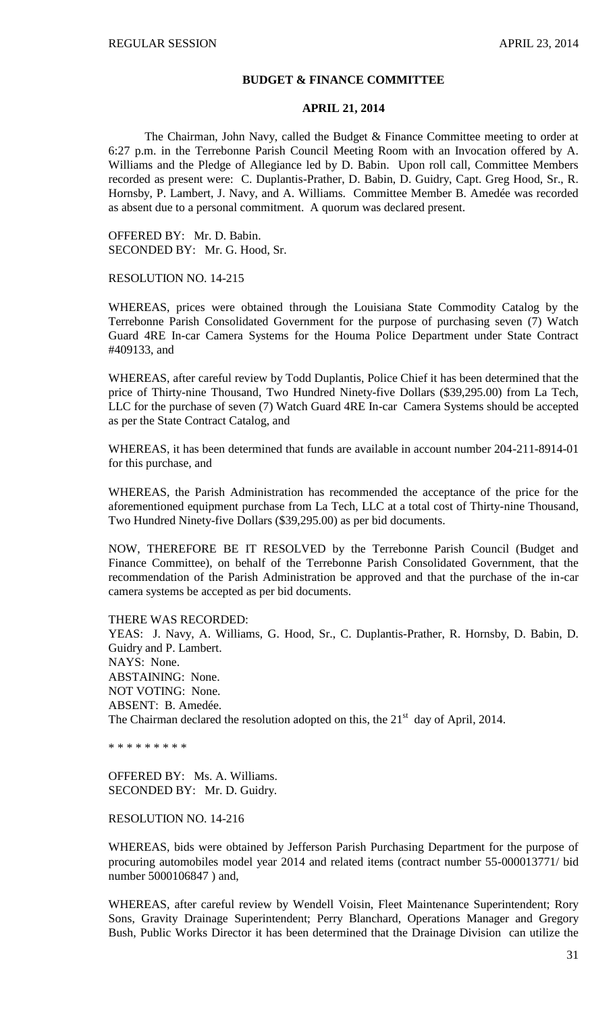#### **BUDGET & FINANCE COMMITTEE**

#### **APRIL 21, 2014**

The Chairman, John Navy, called the Budget & Finance Committee meeting to order at 6:27 p.m. in the Terrebonne Parish Council Meeting Room with an Invocation offered by A. Williams and the Pledge of Allegiance led by D. Babin. Upon roll call, Committee Members recorded as present were: C. Duplantis-Prather, D. Babin, D. Guidry, Capt. Greg Hood, Sr., R. Hornsby, P. Lambert, J. Navy, and A. Williams. Committee Member B. Amedée was recorded as absent due to a personal commitment. A quorum was declared present.

OFFERED BY: Mr. D. Babin. SECONDED BY: Mr. G. Hood, Sr.

RESOLUTION NO. 14-215

WHEREAS, prices were obtained through the Louisiana State Commodity Catalog by the Terrebonne Parish Consolidated Government for the purpose of purchasing seven (7) Watch Guard 4RE In-car Camera Systems for the Houma Police Department under State Contract #409133, and

WHEREAS, after careful review by Todd Duplantis, Police Chief it has been determined that the price of Thirty-nine Thousand, Two Hundred Ninety-five Dollars (\$39,295.00) from La Tech, LLC for the purchase of seven (7) Watch Guard 4RE In-car Camera Systems should be accepted as per the State Contract Catalog, and

WHEREAS, it has been determined that funds are available in account number 204-211-8914-01 for this purchase, and

WHEREAS, the Parish Administration has recommended the acceptance of the price for the aforementioned equipment purchase from La Tech, LLC at a total cost of Thirty-nine Thousand, Two Hundred Ninety-five Dollars (\$39,295.00) as per bid documents.

NOW, THEREFORE BE IT RESOLVED by the Terrebonne Parish Council (Budget and Finance Committee), on behalf of the Terrebonne Parish Consolidated Government, that the recommendation of the Parish Administration be approved and that the purchase of the in-car camera systems be accepted as per bid documents.

THERE WAS RECORDED:

YEAS: J. Navy, A. Williams, G. Hood, Sr., C. Duplantis-Prather, R. Hornsby, D. Babin, D. Guidry and P. Lambert. NAYS: None. ABSTAINING: None. NOT VOTING: None. ABSENT: B. Amedée. The Chairman declared the resolution adopted on this, the  $21<sup>st</sup>$  day of April, 2014.

\* \* \* \* \* \* \* \* \*

OFFERED BY: Ms. A. Williams. SECONDED BY: Mr. D. Guidry.

RESOLUTION NO. 14-216

WHEREAS, bids were obtained by Jefferson Parish Purchasing Department for the purpose of procuring automobiles model year 2014 and related items (contract number 55-000013771/ bid number 5000106847 ) and,

WHEREAS, after careful review by Wendell Voisin, Fleet Maintenance Superintendent; Rory Sons, Gravity Drainage Superintendent; Perry Blanchard, Operations Manager and Gregory Bush, Public Works Director it has been determined that the Drainage Division can utilize the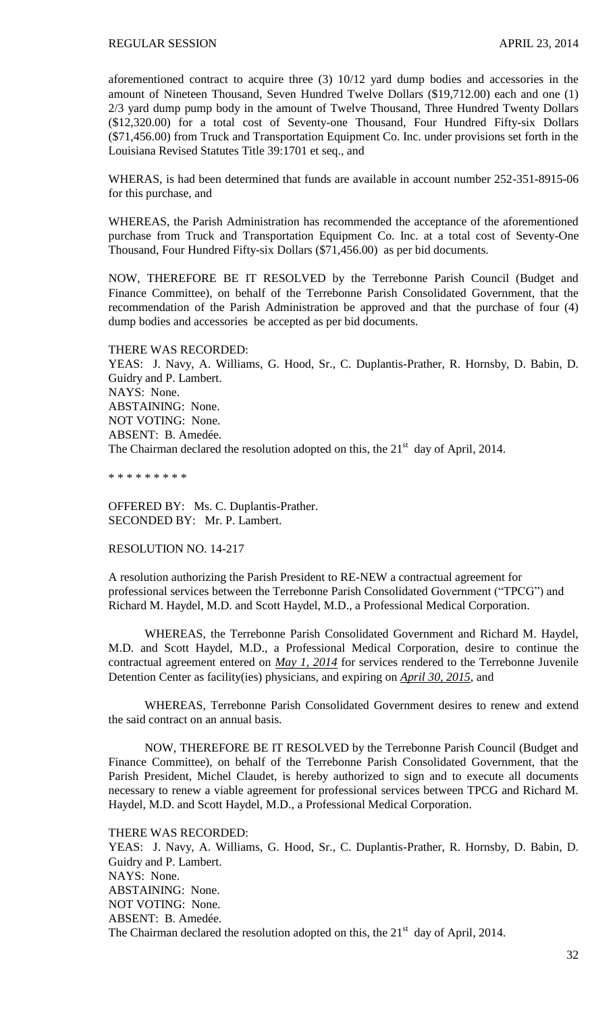aforementioned contract to acquire three (3) 10/12 yard dump bodies and accessories in the amount of Nineteen Thousand, Seven Hundred Twelve Dollars (\$19,712.00) each and one (1) 2/3 yard dump pump body in the amount of Twelve Thousand, Three Hundred Twenty Dollars (\$12,320.00) for a total cost of Seventy-one Thousand, Four Hundred Fifty-six Dollars (\$71,456.00) from Truck and Transportation Equipment Co. Inc. under provisions set forth in the Louisiana Revised Statutes Title 39:1701 et seq., and

WHERAS, is had been determined that funds are available in account number 252-351-8915-06 for this purchase, and

WHEREAS, the Parish Administration has recommended the acceptance of the aforementioned purchase from Truck and Transportation Equipment Co. Inc. at a total cost of Seventy-One Thousand, Four Hundred Fifty-six Dollars (\$71,456.00) as per bid documents.

NOW, THEREFORE BE IT RESOLVED by the Terrebonne Parish Council (Budget and Finance Committee), on behalf of the Terrebonne Parish Consolidated Government, that the recommendation of the Parish Administration be approved and that the purchase of four (4) dump bodies and accessories be accepted as per bid documents.

THERE WAS RECORDED: YEAS: J. Navy, A. Williams, G. Hood, Sr., C. Duplantis-Prather, R. Hornsby, D. Babin, D. Guidry and P. Lambert. NAYS: None. ABSTAINING: None. NOT VOTING: None. ABSENT: B. Amedée. The Chairman declared the resolution adopted on this, the  $21<sup>st</sup>$  day of April, 2014.

\* \* \* \* \* \* \* \* \*

OFFERED BY: Ms. C. Duplantis-Prather. SECONDED BY: Mr. P. Lambert.

RESOLUTION NO. 14-217

A resolution authorizing the Parish President to RE-NEW a contractual agreement for professional services between the Terrebonne Parish Consolidated Government ("TPCG") and Richard M. Haydel, M.D. and Scott Haydel, M.D., a Professional Medical Corporation.

WHEREAS, the Terrebonne Parish Consolidated Government and Richard M. Haydel, M.D. and Scott Haydel, M.D., a Professional Medical Corporation, desire to continue the contractual agreement entered on *May 1, 2014* for services rendered to the Terrebonne Juvenile Detention Center as facility(ies) physicians, and expiring on *April 30, 2015*, and

WHEREAS, Terrebonne Parish Consolidated Government desires to renew and extend the said contract on an annual basis.

NOW, THEREFORE BE IT RESOLVED by the Terrebonne Parish Council (Budget and Finance Committee), on behalf of the Terrebonne Parish Consolidated Government, that the Parish President, Michel Claudet, is hereby authorized to sign and to execute all documents necessary to renew a viable agreement for professional services between TPCG and Richard M. Haydel, M.D. and Scott Haydel, M.D., a Professional Medical Corporation.

THERE WAS RECORDED:

YEAS: J. Navy, A. Williams, G. Hood, Sr., C. Duplantis-Prather, R. Hornsby, D. Babin, D. Guidry and P. Lambert. NAYS: None. ABSTAINING: None. NOT VOTING: None. ABSENT: B. Amedée. The Chairman declared the resolution adopted on this, the  $21<sup>st</sup>$  day of April, 2014.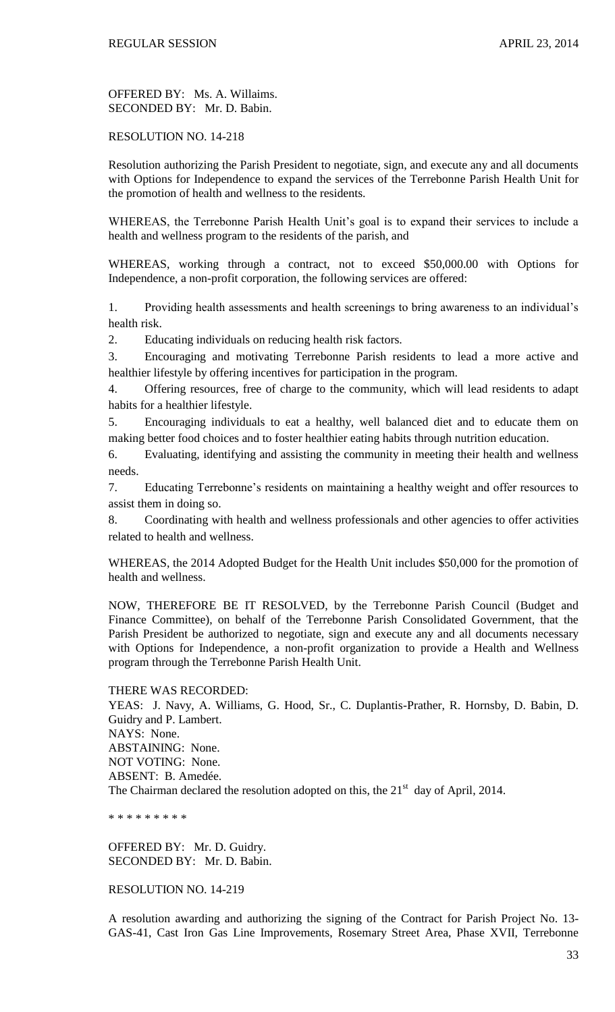OFFERED BY: Ms. A. Willaims. SECONDED BY: Mr. D. Babin.

## RESOLUTION NO. 14-218

Resolution authorizing the Parish President to negotiate, sign, and execute any and all documents with Options for Independence to expand the services of the Terrebonne Parish Health Unit for the promotion of health and wellness to the residents.

WHEREAS, the Terrebonne Parish Health Unit's goal is to expand their services to include a health and wellness program to the residents of the parish, and

WHEREAS, working through a contract, not to exceed \$50,000.00 with Options for Independence, a non-profit corporation, the following services are offered:

1. Providing health assessments and health screenings to bring awareness to an individual's health risk.

2. Educating individuals on reducing health risk factors.

3. Encouraging and motivating Terrebonne Parish residents to lead a more active and healthier lifestyle by offering incentives for participation in the program.

4. Offering resources, free of charge to the community, which will lead residents to adapt habits for a healthier lifestyle.

5. Encouraging individuals to eat a healthy, well balanced diet and to educate them on making better food choices and to foster healthier eating habits through nutrition education.

6. Evaluating, identifying and assisting the community in meeting their health and wellness needs.

7. Educating Terrebonne's residents on maintaining a healthy weight and offer resources to assist them in doing so.

8. Coordinating with health and wellness professionals and other agencies to offer activities related to health and wellness.

WHEREAS, the 2014 Adopted Budget for the Health Unit includes \$50,000 for the promotion of health and wellness.

NOW, THEREFORE BE IT RESOLVED, by the Terrebonne Parish Council (Budget and Finance Committee), on behalf of the Terrebonne Parish Consolidated Government, that the Parish President be authorized to negotiate, sign and execute any and all documents necessary with Options for Independence, a non-profit organization to provide a Health and Wellness program through the Terrebonne Parish Health Unit.

THERE WAS RECORDED:

YEAS: J. Navy, A. Williams, G. Hood, Sr., C. Duplantis-Prather, R. Hornsby, D. Babin, D. Guidry and P. Lambert. NAYS: None. ABSTAINING: None. NOT VOTING: None. ABSENT: B. Amedée. The Chairman declared the resolution adopted on this, the  $21<sup>st</sup>$  day of April, 2014.

\* \* \* \* \* \* \* \* \*

OFFERED BY: Mr. D. Guidry. SECONDED BY: Mr. D. Babin.

RESOLUTION NO. 14-219

A resolution awarding and authorizing the signing of the Contract for Parish Project No. 13- GAS-41, Cast Iron Gas Line Improvements, Rosemary Street Area, Phase XVII, Terrebonne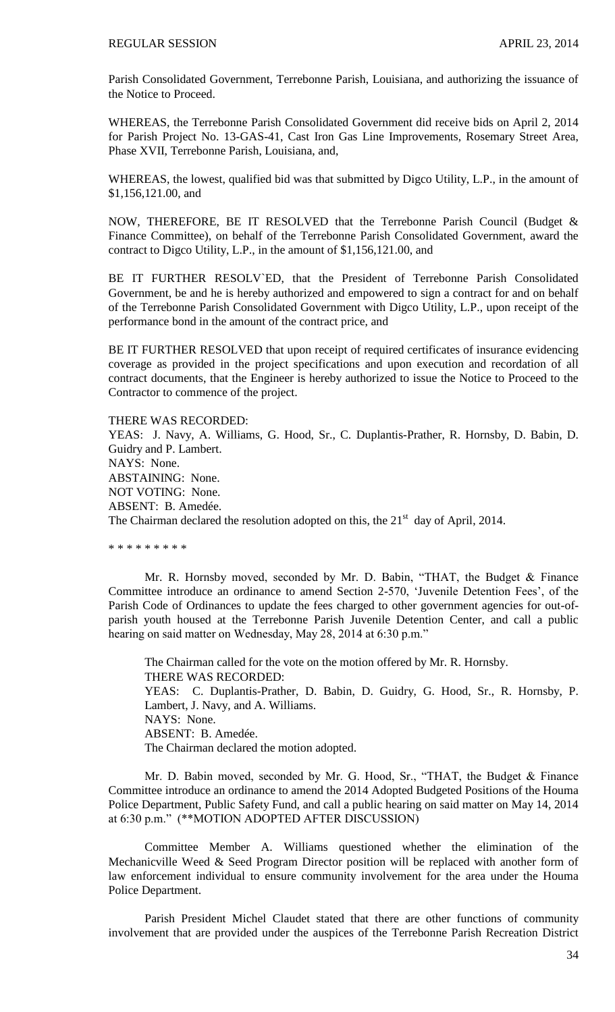Parish Consolidated Government, Terrebonne Parish, Louisiana, and authorizing the issuance of the Notice to Proceed.

WHEREAS, the Terrebonne Parish Consolidated Government did receive bids on April 2, 2014 for Parish Project No. 13-GAS-41, Cast Iron Gas Line Improvements, Rosemary Street Area, Phase XVII, Terrebonne Parish, Louisiana, and,

WHEREAS, the lowest, qualified bid was that submitted by Digco Utility, L.P., in the amount of \$1,156,121.00, and

NOW, THEREFORE, BE IT RESOLVED that the Terrebonne Parish Council (Budget & Finance Committee), on behalf of the Terrebonne Parish Consolidated Government, award the contract to Digco Utility, L.P., in the amount of \$1,156,121.00, and

BE IT FURTHER RESOLV`ED, that the President of Terrebonne Parish Consolidated Government, be and he is hereby authorized and empowered to sign a contract for and on behalf of the Terrebonne Parish Consolidated Government with Digco Utility, L.P., upon receipt of the performance bond in the amount of the contract price, and

BE IT FURTHER RESOLVED that upon receipt of required certificates of insurance evidencing coverage as provided in the project specifications and upon execution and recordation of all contract documents, that the Engineer is hereby authorized to issue the Notice to Proceed to the Contractor to commence of the project.

#### THERE WAS RECORDED:

YEAS: J. Navy, A. Williams, G. Hood, Sr., C. Duplantis-Prather, R. Hornsby, D. Babin, D. Guidry and P. Lambert. NAYS: None. ABSTAINING: None. NOT VOTING: None. ABSENT: B. Amedée. The Chairman declared the resolution adopted on this, the  $21<sup>st</sup>$  day of April, 2014.

\* \* \* \* \* \* \* \* \*

Mr. R. Hornsby moved, seconded by Mr. D. Babin, "THAT, the Budget & Finance Committee introduce an ordinance to amend Section 2-570, 'Juvenile Detention Fees', of the Parish Code of Ordinances to update the fees charged to other government agencies for out-ofparish youth housed at the Terrebonne Parish Juvenile Detention Center, and call a public hearing on said matter on Wednesday, May 28, 2014 at 6:30 p.m."

The Chairman called for the vote on the motion offered by Mr. R. Hornsby. THERE WAS RECORDED: YEAS: C. Duplantis-Prather, D. Babin, D. Guidry, G. Hood, Sr., R. Hornsby, P. Lambert, J. Navy, and A. Williams. NAYS: None. ABSENT: B. Amedée. The Chairman declared the motion adopted.

Mr. D. Babin moved, seconded by Mr. G. Hood, Sr., "THAT, the Budget & Finance Committee introduce an ordinance to amend the 2014 Adopted Budgeted Positions of the Houma Police Department, Public Safety Fund, and call a public hearing on said matter on May 14, 2014 at 6:30 p.m." (\*\*MOTION ADOPTED AFTER DISCUSSION)

Committee Member A. Williams questioned whether the elimination of the Mechanicville Weed & Seed Program Director position will be replaced with another form of law enforcement individual to ensure community involvement for the area under the Houma Police Department.

Parish President Michel Claudet stated that there are other functions of community involvement that are provided under the auspices of the Terrebonne Parish Recreation District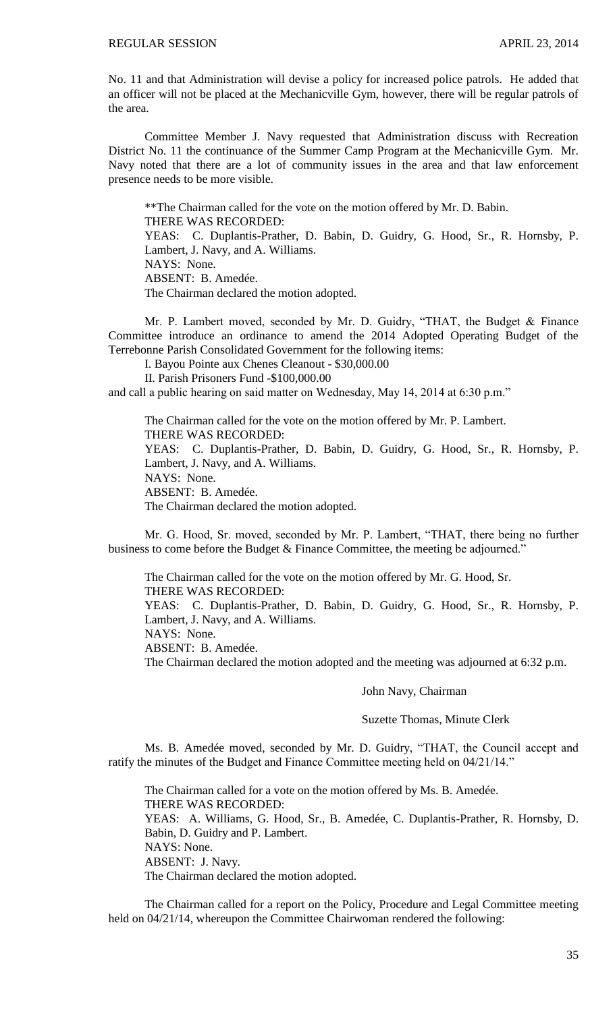No. 11 and that Administration will devise a policy for increased police patrols. He added that an officer will not be placed at the Mechanicville Gym, however, there will be regular patrols of the area.

Committee Member J. Navy requested that Administration discuss with Recreation District No. 11 the continuance of the Summer Camp Program at the Mechanicville Gym. Mr. Navy noted that there are a lot of community issues in the area and that law enforcement presence needs to be more visible.

\*\*The Chairman called for the vote on the motion offered by Mr. D. Babin. THERE WAS RECORDED: YEAS: C. Duplantis-Prather, D. Babin, D. Guidry, G. Hood, Sr., R. Hornsby, P. Lambert, J. Navy, and A. Williams. NAYS: None. ABSENT: B. Amedée. The Chairman declared the motion adopted.

Mr. P. Lambert moved, seconded by Mr. D. Guidry, "THAT, the Budget & Finance Committee introduce an ordinance to amend the 2014 Adopted Operating Budget of the Terrebonne Parish Consolidated Government for the following items:

I. Bayou Pointe aux Chenes Cleanout - \$30,000.00

II. Parish Prisoners Fund -\$100,000.00

and call a public hearing on said matter on Wednesday, May 14, 2014 at 6:30 p.m."

The Chairman called for the vote on the motion offered by Mr. P. Lambert. THERE WAS RECORDED: YEAS: C. Duplantis-Prather, D. Babin, D. Guidry, G. Hood, Sr., R. Hornsby, P. Lambert, J. Navy, and A. Williams. NAYS: None. ABSENT: B. Amedée.

The Chairman declared the motion adopted.

Mr. G. Hood, Sr. moved, seconded by Mr. P. Lambert, "THAT, there being no further business to come before the Budget & Finance Committee, the meeting be adjourned."

The Chairman called for the vote on the motion offered by Mr. G. Hood, Sr. THERE WAS RECORDED:

YEAS: C. Duplantis-Prather, D. Babin, D. Guidry, G. Hood, Sr., R. Hornsby, P. Lambert, J. Navy, and A. Williams.

NAYS: None.

ABSENT: B. Amedée.

The Chairman declared the motion adopted and the meeting was adjourned at 6:32 p.m.

#### John Navy, Chairman

Suzette Thomas, Minute Clerk

Ms. B. Amedée moved, seconded by Mr. D. Guidry, "THAT, the Council accept and ratify the minutes of the Budget and Finance Committee meeting held on 04/21/14."

The Chairman called for a vote on the motion offered by Ms. B. Amedée. THERE WAS RECORDED: YEAS: A. Williams, G. Hood, Sr., B. Amedée, C. Duplantis-Prather, R. Hornsby, D. Babin, D. Guidry and P. Lambert. NAYS: None. ABSENT: J. Navy. The Chairman declared the motion adopted.

The Chairman called for a report on the Policy, Procedure and Legal Committee meeting held on 04/21/14, whereupon the Committee Chairwoman rendered the following: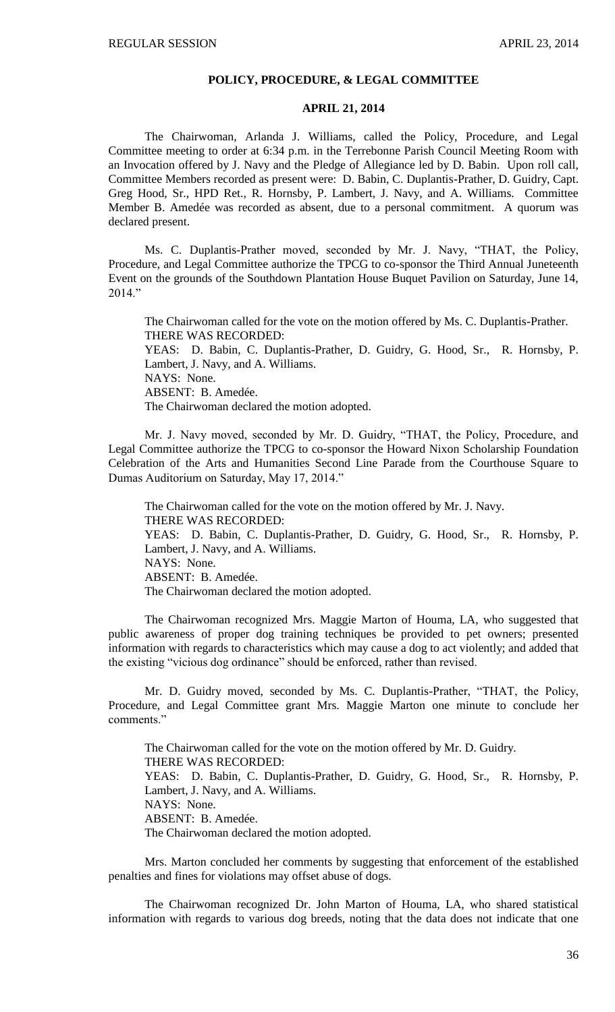## **POLICY, PROCEDURE, & LEGAL COMMITTEE**

### **APRIL 21, 2014**

The Chairwoman, Arlanda J. Williams, called the Policy, Procedure, and Legal Committee meeting to order at 6:34 p.m. in the Terrebonne Parish Council Meeting Room with an Invocation offered by J. Navy and the Pledge of Allegiance led by D. Babin. Upon roll call, Committee Members recorded as present were: D. Babin, C. Duplantis-Prather, D. Guidry, Capt. Greg Hood, Sr., HPD Ret., R. Hornsby, P. Lambert, J. Navy, and A. Williams. Committee Member B. Amedée was recorded as absent, due to a personal commitment. A quorum was declared present.

Ms. C. Duplantis-Prather moved, seconded by Mr. J. Navy, "THAT, the Policy, Procedure, and Legal Committee authorize the TPCG to co-sponsor the Third Annual Juneteenth Event on the grounds of the Southdown Plantation House Buquet Pavilion on Saturday, June 14,  $2014."$ 

The Chairwoman called for the vote on the motion offered by Ms. C. Duplantis-Prather. THERE WAS RECORDED:

YEAS: D. Babin, C. Duplantis-Prather, D. Guidry, G. Hood, Sr., R. Hornsby, P. Lambert, J. Navy, and A. Williams.

NAYS: None.

ABSENT: B. Amedée.

The Chairwoman declared the motion adopted.

Mr. J. Navy moved, seconded by Mr. D. Guidry, "THAT, the Policy, Procedure, and Legal Committee authorize the TPCG to co-sponsor the Howard Nixon Scholarship Foundation Celebration of the Arts and Humanities Second Line Parade from the Courthouse Square to Dumas Auditorium on Saturday, May 17, 2014."

The Chairwoman called for the vote on the motion offered by Mr. J. Navy. THERE WAS RECORDED: YEAS: D. Babin, C. Duplantis-Prather, D. Guidry, G. Hood, Sr., R. Hornsby, P. Lambert, J. Navy, and A. Williams. NAYS: None. ABSENT: B. Amedée. The Chairwoman declared the motion adopted.

The Chairwoman recognized Mrs. Maggie Marton of Houma, LA, who suggested that public awareness of proper dog training techniques be provided to pet owners; presented information with regards to characteristics which may cause a dog to act violently; and added that the existing "vicious dog ordinance" should be enforced, rather than revised.

Mr. D. Guidry moved, seconded by Ms. C. Duplantis-Prather, "THAT, the Policy, Procedure, and Legal Committee grant Mrs. Maggie Marton one minute to conclude her comments."

The Chairwoman called for the vote on the motion offered by Mr. D. Guidry. THERE WAS RECORDED: YEAS: D. Babin, C. Duplantis-Prather, D. Guidry, G. Hood, Sr., R. Hornsby, P. Lambert, J. Navy, and A. Williams. NAYS: None. ABSENT: B. Amedée. The Chairwoman declared the motion adopted.

Mrs. Marton concluded her comments by suggesting that enforcement of the established penalties and fines for violations may offset abuse of dogs.

The Chairwoman recognized Dr. John Marton of Houma, LA, who shared statistical information with regards to various dog breeds, noting that the data does not indicate that one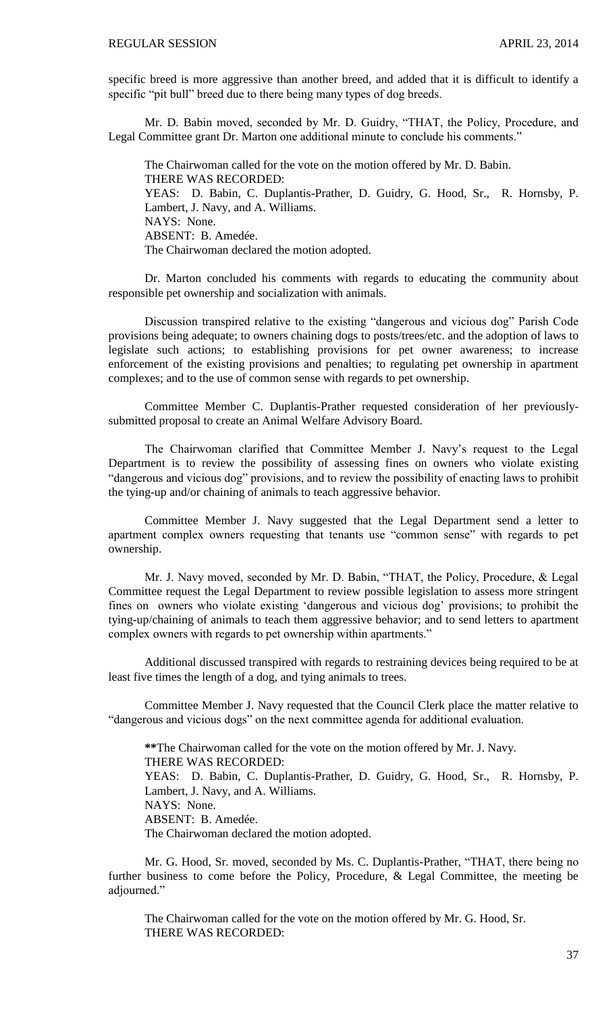specific breed is more aggressive than another breed, and added that it is difficult to identify a specific "pit bull" breed due to there being many types of dog breeds.

Mr. D. Babin moved, seconded by Mr. D. Guidry, "THAT, the Policy, Procedure, and Legal Committee grant Dr. Marton one additional minute to conclude his comments."

The Chairwoman called for the vote on the motion offered by Mr. D. Babin. THERE WAS RECORDED: YEAS: D. Babin, C. Duplantis-Prather, D. Guidry, G. Hood, Sr., R. Hornsby, P. Lambert, J. Navy, and A. Williams. NAYS: None. ABSENT: B. Amedée. The Chairwoman declared the motion adopted.

Dr. Marton concluded his comments with regards to educating the community about responsible pet ownership and socialization with animals.

Discussion transpired relative to the existing "dangerous and vicious dog" Parish Code provisions being adequate; to owners chaining dogs to posts/trees/etc. and the adoption of laws to legislate such actions; to establishing provisions for pet owner awareness; to increase enforcement of the existing provisions and penalties; to regulating pet ownership in apartment complexes; and to the use of common sense with regards to pet ownership.

Committee Member C. Duplantis-Prather requested consideration of her previouslysubmitted proposal to create an Animal Welfare Advisory Board.

The Chairwoman clarified that Committee Member J. Navy's request to the Legal Department is to review the possibility of assessing fines on owners who violate existing "dangerous and vicious dog" provisions, and to review the possibility of enacting laws to prohibit the tying-up and/or chaining of animals to teach aggressive behavior.

Committee Member J. Navy suggested that the Legal Department send a letter to apartment complex owners requesting that tenants use "common sense" with regards to pet ownership.

Mr. J. Navy moved, seconded by Mr. D. Babin, "THAT, the Policy, Procedure, & Legal Committee request the Legal Department to review possible legislation to assess more stringent fines on owners who violate existing 'dangerous and vicious dog' provisions; to prohibit the tying-up/chaining of animals to teach them aggressive behavior; and to send letters to apartment complex owners with regards to pet ownership within apartments."

Additional discussed transpired with regards to restraining devices being required to be at least five times the length of a dog, and tying animals to trees.

Committee Member J. Navy requested that the Council Clerk place the matter relative to "dangerous and vicious dogs" on the next committee agenda for additional evaluation.

**\*\***The Chairwoman called for the vote on the motion offered by Mr. J. Navy. THERE WAS RECORDED: YEAS: D. Babin, C. Duplantis-Prather, D. Guidry, G. Hood, Sr., R. Hornsby, P. Lambert, J. Navy, and A. Williams. NAYS: None. ABSENT: B. Amedée. The Chairwoman declared the motion adopted.

Mr. G. Hood, Sr. moved, seconded by Ms. C. Duplantis-Prather, "THAT, there being no further business to come before the Policy, Procedure, & Legal Committee, the meeting be adjourned."

The Chairwoman called for the vote on the motion offered by Mr. G. Hood, Sr. THERE WAS RECORDED: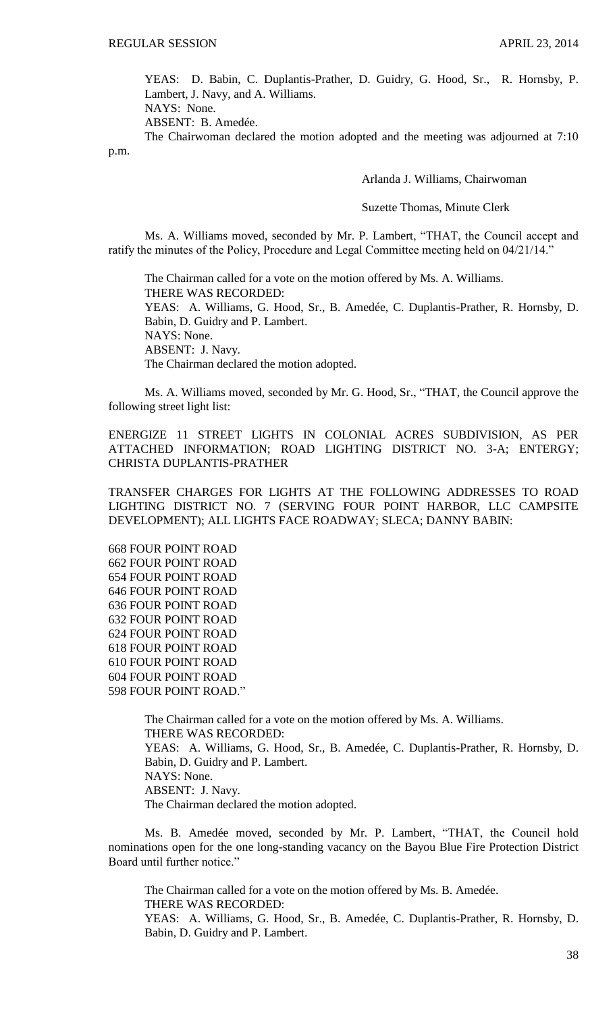YEAS: D. Babin, C. Duplantis-Prather, D. Guidry, G. Hood, Sr., R. Hornsby, P. Lambert, J. Navy, and A. Williams.

NAYS: None. ABSENT: B. Amedée.

The Chairwoman declared the motion adopted and the meeting was adjourned at 7:10 p.m.

Arlanda J. Williams, Chairwoman

Suzette Thomas, Minute Clerk

Ms. A. Williams moved, seconded by Mr. P. Lambert, "THAT, the Council accept and ratify the minutes of the Policy, Procedure and Legal Committee meeting held on 04/21/14."

The Chairman called for a vote on the motion offered by Ms. A. Williams. THERE WAS RECORDED: YEAS: A. Williams, G. Hood, Sr., B. Amedée, C. Duplantis-Prather, R. Hornsby, D. Babin, D. Guidry and P. Lambert. NAYS: None. ABSENT: J. Navy. The Chairman declared the motion adopted.

Ms. A. Williams moved, seconded by Mr. G. Hood, Sr., "THAT, the Council approve the following street light list:

ENERGIZE 11 STREET LIGHTS IN COLONIAL ACRES SUBDIVISION, AS PER ATTACHED INFORMATION; ROAD LIGHTING DISTRICT NO. 3-A; ENTERGY; CHRISTA DUPLANTIS-PRATHER

TRANSFER CHARGES FOR LIGHTS AT THE FOLLOWING ADDRESSES TO ROAD LIGHTING DISTRICT NO. 7 (SERVING FOUR POINT HARBOR, LLC CAMPSITE DEVELOPMENT); ALL LIGHTS FACE ROADWAY; SLECA; DANNY BABIN:

668 FOUR POINT ROAD 662 FOUR POINT ROAD 654 FOUR POINT ROAD 646 FOUR POINT ROAD 636 FOUR POINT ROAD 632 FOUR POINT ROAD 624 FOUR POINT ROAD 618 FOUR POINT ROAD 610 FOUR POINT ROAD 604 FOUR POINT ROAD 598 FOUR POINT ROAD."

> The Chairman called for a vote on the motion offered by Ms. A. Williams. THERE WAS RECORDED: YEAS: A. Williams, G. Hood, Sr., B. Amedée, C. Duplantis-Prather, R. Hornsby, D. Babin, D. Guidry and P. Lambert. NAYS: None. ABSENT: J. Navy. The Chairman declared the motion adopted.

Ms. B. Amedée moved, seconded by Mr. P. Lambert, "THAT, the Council hold nominations open for the one long-standing vacancy on the Bayou Blue Fire Protection District Board until further notice."

The Chairman called for a vote on the motion offered by Ms. B. Amedée. THERE WAS RECORDED: YEAS: A. Williams, G. Hood, Sr., B. Amedée, C. Duplantis-Prather, R. Hornsby, D. Babin, D. Guidry and P. Lambert.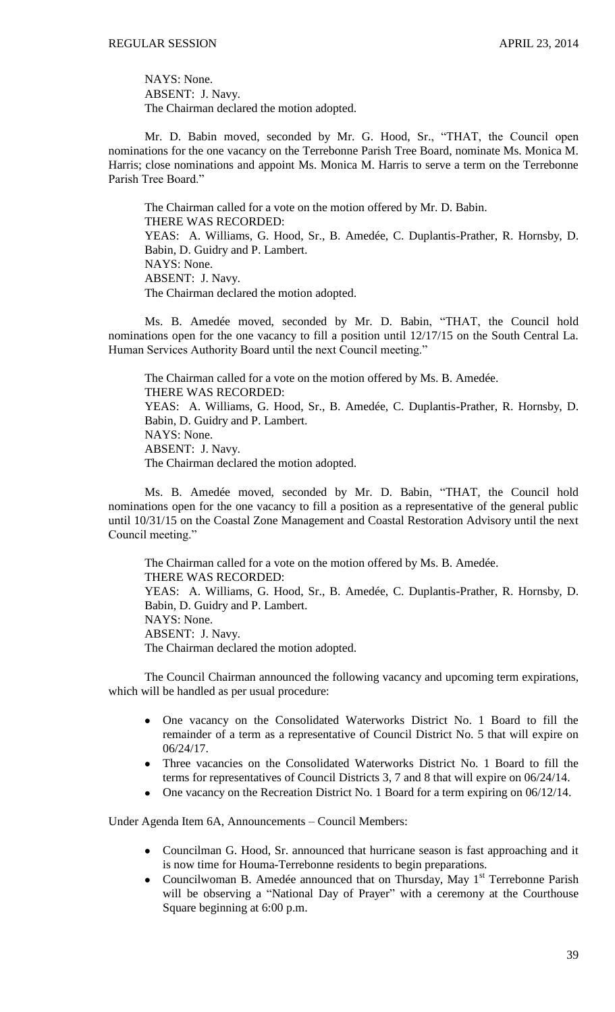NAYS: None. ABSENT: J. Navy. The Chairman declared the motion adopted.

Mr. D. Babin moved, seconded by Mr. G. Hood, Sr., "THAT, the Council open nominations for the one vacancy on the Terrebonne Parish Tree Board, nominate Ms. Monica M. Harris; close nominations and appoint Ms. Monica M. Harris to serve a term on the Terrebonne Parish Tree Board."

The Chairman called for a vote on the motion offered by Mr. D. Babin. THERE WAS RECORDED: YEAS: A. Williams, G. Hood, Sr., B. Amedée, C. Duplantis-Prather, R. Hornsby, D. Babin, D. Guidry and P. Lambert. NAYS: None. ABSENT: J. Navy. The Chairman declared the motion adopted.

Ms. B. Amedée moved, seconded by Mr. D. Babin, "THAT, the Council hold nominations open for the one vacancy to fill a position until 12/17/15 on the South Central La. Human Services Authority Board until the next Council meeting."

The Chairman called for a vote on the motion offered by Ms. B. Amedée. THERE WAS RECORDED: YEAS: A. Williams, G. Hood, Sr., B. Amedée, C. Duplantis-Prather, R. Hornsby, D. Babin, D. Guidry and P. Lambert. NAYS: None. ABSENT: J. Navy. The Chairman declared the motion adopted.

Ms. B. Amedée moved, seconded by Mr. D. Babin, "THAT, the Council hold nominations open for the one vacancy to fill a position as a representative of the general public until 10/31/15 on the Coastal Zone Management and Coastal Restoration Advisory until the next Council meeting."

The Chairman called for a vote on the motion offered by Ms. B. Amedée. THERE WAS RECORDED: YEAS: A. Williams, G. Hood, Sr., B. Amedée, C. Duplantis-Prather, R. Hornsby, D. Babin, D. Guidry and P. Lambert. NAYS: None. ABSENT: J. Navy. The Chairman declared the motion adopted.

The Council Chairman announced the following vacancy and upcoming term expirations, which will be handled as per usual procedure:

- One vacancy on the Consolidated Waterworks District No. 1 Board to fill the remainder of a term as a representative of Council District No. 5 that will expire on 06/24/17.
- Three vacancies on the Consolidated Waterworks District No. 1 Board to fill the terms for representatives of Council Districts 3, 7 and 8 that will expire on 06/24/14.
- One vacancy on the Recreation District No. 1 Board for a term expiring on 06/12/14.

Under Agenda Item 6A, Announcements – Council Members:

- Councilman G. Hood, Sr. announced that hurricane season is fast approaching and it is now time for Houma-Terrebonne residents to begin preparations.
- Councilwoman B. Amedée announced that on Thursday, May 1<sup>st</sup> Terrebonne Parish  $\bullet$ will be observing a "National Day of Prayer" with a ceremony at the Courthouse Square beginning at 6:00 p.m.